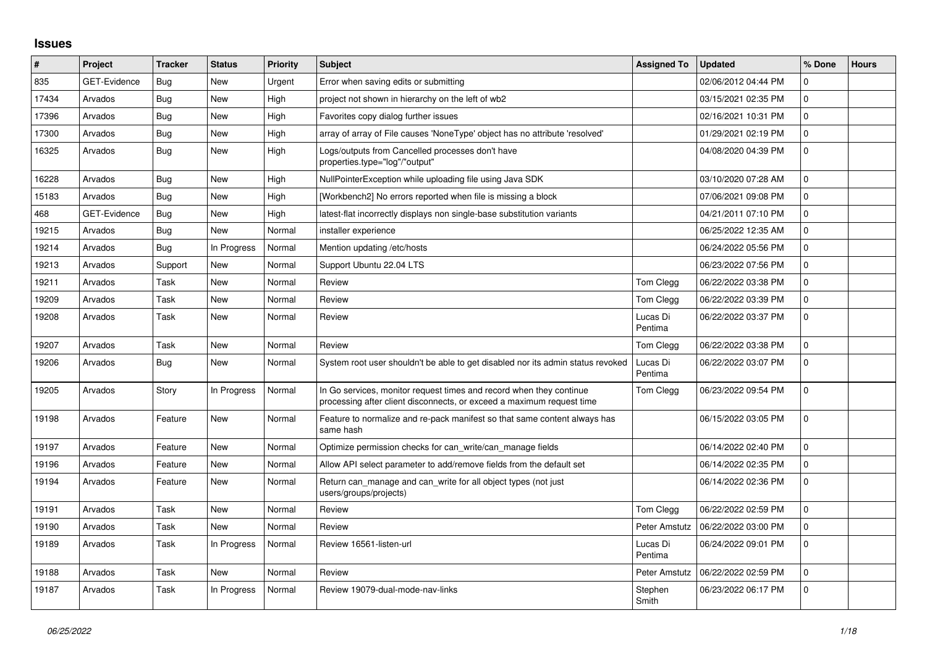## **Issues**

| #     | <b>Project</b>      | <b>Tracker</b> | <b>Status</b> | Priority | <b>Subject</b>                                                                                                                               | <b>Assigned To</b>  | <b>Updated</b>      | % Done      | <b>Hours</b> |
|-------|---------------------|----------------|---------------|----------|----------------------------------------------------------------------------------------------------------------------------------------------|---------------------|---------------------|-------------|--------------|
| 835   | <b>GET-Evidence</b> | Bug            | New           | Urgent   | Error when saving edits or submitting                                                                                                        |                     | 02/06/2012 04:44 PM | $\Omega$    |              |
| 17434 | Arvados             | <b>Bug</b>     | <b>New</b>    | High     | project not shown in hierarchy on the left of wb2                                                                                            |                     | 03/15/2021 02:35 PM | 0           |              |
| 17396 | Arvados             | <b>Bug</b>     | <b>New</b>    | High     | Favorites copy dialog further issues                                                                                                         |                     | 02/16/2021 10:31 PM | 0           |              |
| 17300 | Arvados             | Bug            | <b>New</b>    | High     | array of array of File causes 'NoneType' object has no attribute 'resolved'                                                                  |                     | 01/29/2021 02:19 PM | 0           |              |
| 16325 | Arvados             | <b>Bug</b>     | New           | High     | Logs/outputs from Cancelled processes don't have<br>properties.type="log"/"output"                                                           |                     | 04/08/2020 04:39 PM | $\Omega$    |              |
| 16228 | Arvados             | <b>Bug</b>     | <b>New</b>    | High     | NullPointerException while uploading file using Java SDK                                                                                     |                     | 03/10/2020 07:28 AM | $\Omega$    |              |
| 15183 | Arvados             | Bug            | New           | High     | [Workbench2] No errors reported when file is missing a block                                                                                 |                     | 07/06/2021 09:08 PM | $\Omega$    |              |
| 468   | <b>GET-Evidence</b> | Bug            | <b>New</b>    | High     | latest-flat incorrectly displays non single-base substitution variants                                                                       |                     | 04/21/2011 07:10 PM | 0           |              |
| 19215 | Arvados             | <b>Bug</b>     | New           | Normal   | installer experience                                                                                                                         |                     | 06/25/2022 12:35 AM | $\Omega$    |              |
| 19214 | Arvados             | Bug            | In Progress   | Normal   | Mention updating /etc/hosts                                                                                                                  |                     | 06/24/2022 05:56 PM | 0           |              |
| 19213 | Arvados             | Support        | <b>New</b>    | Normal   | Support Ubuntu 22.04 LTS                                                                                                                     |                     | 06/23/2022 07:56 PM | $\Omega$    |              |
| 19211 | Arvados             | Task           | New           | Normal   | Review                                                                                                                                       | Tom Clegg           | 06/22/2022 03:38 PM | $\Omega$    |              |
| 19209 | Arvados             | Task           | <b>New</b>    | Normal   | Review                                                                                                                                       | Tom Clegg           | 06/22/2022 03:39 PM | 0           |              |
| 19208 | Arvados             | Task           | <b>New</b>    | Normal   | Review                                                                                                                                       | Lucas Di<br>Pentima | 06/22/2022 03:37 PM | $\Omega$    |              |
| 19207 | Arvados             | Task           | New           | Normal   | Review                                                                                                                                       | Tom Clegg           | 06/22/2022 03:38 PM | 0           |              |
| 19206 | Arvados             | <b>Bug</b>     | <b>New</b>    | Normal   | System root user shouldn't be able to get disabled nor its admin status revoked                                                              | Lucas Di<br>Pentima | 06/22/2022 03:07 PM | $\mathbf 0$ |              |
| 19205 | Arvados             | Story          | In Progress   | Normal   | In Go services, monitor request times and record when they continue<br>processing after client disconnects, or exceed a maximum request time | Tom Clegg           | 06/23/2022 09:54 PM | $\Omega$    |              |
| 19198 | Arvados             | Feature        | New           | Normal   | Feature to normalize and re-pack manifest so that same content always has<br>same hash                                                       |                     | 06/15/2022 03:05 PM | 0           |              |
| 19197 | Arvados             | Feature        | New           | Normal   | Optimize permission checks for can write/can manage fields                                                                                   |                     | 06/14/2022 02:40 PM | $\Omega$    |              |
| 19196 | Arvados             | Feature        | <b>New</b>    | Normal   | Allow API select parameter to add/remove fields from the default set                                                                         |                     | 06/14/2022 02:35 PM | $\Omega$    |              |
| 19194 | Arvados             | Feature        | New           | Normal   | Return can manage and can write for all object types (not just<br>users/groups/projects)                                                     |                     | 06/14/2022 02:36 PM | 0           |              |
| 19191 | Arvados             | Task           | <b>New</b>    | Normal   | Review                                                                                                                                       | Tom Clegg           | 06/22/2022 02:59 PM | 0           |              |
| 19190 | Arvados             | Task           | New           | Normal   | Review                                                                                                                                       | Peter Amstutz       | 06/22/2022 03:00 PM | $\Omega$    |              |
| 19189 | Arvados             | Task           | In Progress   | Normal   | Review 16561-listen-url                                                                                                                      | Lucas Di<br>Pentima | 06/24/2022 09:01 PM | 0           |              |
| 19188 | Arvados             | Task           | <b>New</b>    | Normal   | Review                                                                                                                                       | Peter Amstutz       | 06/22/2022 02:59 PM | $\mathbf 0$ |              |
| 19187 | Arvados             | Task           | In Progress   | Normal   | Review 19079-dual-mode-nav-links                                                                                                             | Stephen<br>Smith    | 06/23/2022 06:17 PM | $\Omega$    |              |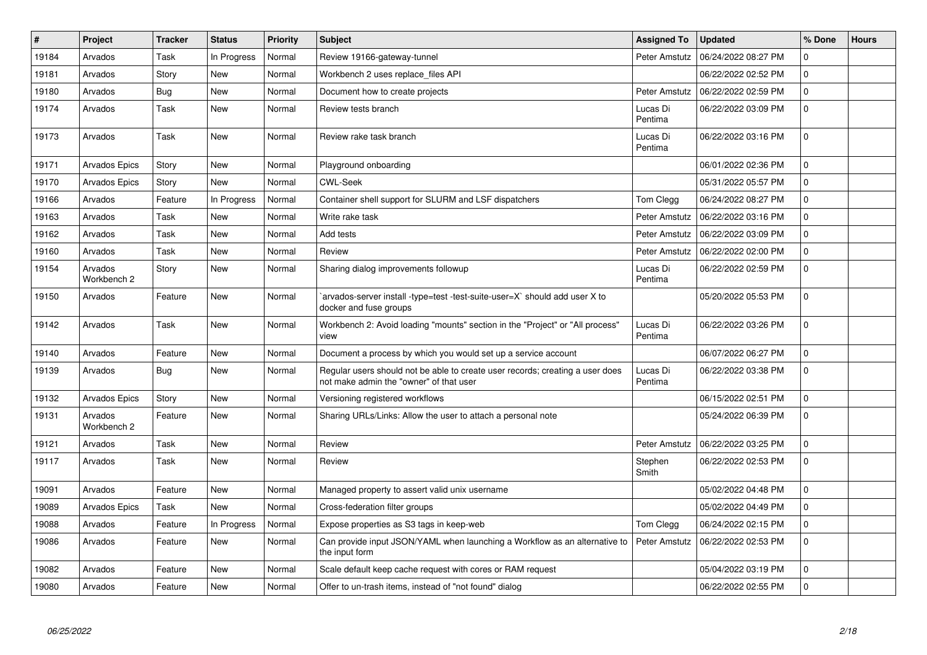| $\#$  | Project                | <b>Tracker</b> | <b>Status</b> | <b>Priority</b> | <b>Subject</b>                                                                                                           | <b>Assigned To</b>  | <b>Updated</b>      | % Done         | <b>Hours</b> |
|-------|------------------------|----------------|---------------|-----------------|--------------------------------------------------------------------------------------------------------------------------|---------------------|---------------------|----------------|--------------|
| 19184 | Arvados                | Task           | In Progress   | Normal          | Review 19166-gateway-tunnel                                                                                              | Peter Amstutz       | 06/24/2022 08:27 PM | 0              |              |
| 19181 | Arvados                | Story          | <b>New</b>    | Normal          | Workbench 2 uses replace files API                                                                                       |                     | 06/22/2022 02:52 PM | $\overline{0}$ |              |
| 19180 | Arvados                | <b>Bug</b>     | <b>New</b>    | Normal          | Document how to create projects                                                                                          | Peter Amstutz       | 06/22/2022 02:59 PM | $\overline{0}$ |              |
| 19174 | Arvados                | Task           | <b>New</b>    | Normal          | Review tests branch                                                                                                      | Lucas Di<br>Pentima | 06/22/2022 03:09 PM | 0              |              |
| 19173 | Arvados                | Task           | <b>New</b>    | Normal          | Review rake task branch                                                                                                  | Lucas Di<br>Pentima | 06/22/2022 03:16 PM | $\overline{0}$ |              |
| 19171 | <b>Arvados Epics</b>   | Story          | <b>New</b>    | Normal          | Playground onboarding                                                                                                    |                     | 06/01/2022 02:36 PM | $\mathbf 0$    |              |
| 19170 | <b>Arvados Epics</b>   | Story          | <b>New</b>    | Normal          | <b>CWL-Seek</b>                                                                                                          |                     | 05/31/2022 05:57 PM | 0              |              |
| 19166 | Arvados                | Feature        | In Progress   | Normal          | Container shell support for SLURM and LSF dispatchers                                                                    | Tom Clegg           | 06/24/2022 08:27 PM | 0              |              |
| 19163 | Arvados                | Task           | New           | Normal          | Write rake task                                                                                                          | Peter Amstutz       | 06/22/2022 03:16 PM | $\overline{0}$ |              |
| 19162 | Arvados                | Task           | <b>New</b>    | Normal          | Add tests                                                                                                                | Peter Amstutz       | 06/22/2022 03:09 PM | 0              |              |
| 19160 | Arvados                | Task           | <b>New</b>    | Normal          | Review                                                                                                                   | Peter Amstutz       | 06/22/2022 02:00 PM | 0              |              |
| 19154 | Arvados<br>Workbench 2 | Story          | <b>New</b>    | Normal          | Sharing dialog improvements followup                                                                                     | Lucas Di<br>Pentima | 06/22/2022 02:59 PM | $\overline{0}$ |              |
| 19150 | Arvados                | Feature        | <b>New</b>    | Normal          | `arvados-server install -type=test -test-suite-user=X` should add user X to<br>docker and fuse groups                    |                     | 05/20/2022 05:53 PM | $\Omega$       |              |
| 19142 | Arvados                | Task           | <b>New</b>    | Normal          | Workbench 2: Avoid loading "mounts" section in the "Project" or "All process"<br>view                                    | Lucas Di<br>Pentima | 06/22/2022 03:26 PM | $\mathbf 0$    |              |
| 19140 | Arvados                | Feature        | <b>New</b>    | Normal          | Document a process by which you would set up a service account                                                           |                     | 06/07/2022 06:27 PM | $\Omega$       |              |
| 19139 | Arvados                | <b>Bug</b>     | <b>New</b>    | Normal          | Regular users should not be able to create user records; creating a user does<br>not make admin the "owner" of that user | Lucas Di<br>Pentima | 06/22/2022 03:38 PM | $\Omega$       |              |
| 19132 | <b>Arvados Epics</b>   | Story          | <b>New</b>    | Normal          | Versioning registered workflows                                                                                          |                     | 06/15/2022 02:51 PM | 0              |              |
| 19131 | Arvados<br>Workbench 2 | Feature        | <b>New</b>    | Normal          | Sharing URLs/Links: Allow the user to attach a personal note                                                             |                     | 05/24/2022 06:39 PM | $\Omega$       |              |
| 19121 | Arvados                | Task           | <b>New</b>    | Normal          | Review                                                                                                                   | Peter Amstutz       | 06/22/2022 03:25 PM | $\Omega$       |              |
| 19117 | Arvados                | Task           | <b>New</b>    | Normal          | Review                                                                                                                   | Stephen<br>Smith    | 06/22/2022 02:53 PM | 0              |              |
| 19091 | Arvados                | Feature        | <b>New</b>    | Normal          | Managed property to assert valid unix username                                                                           |                     | 05/02/2022 04:48 PM | $\overline{0}$ |              |
| 19089 | <b>Arvados Epics</b>   | Task           | <b>New</b>    | Normal          | Cross-federation filter groups                                                                                           |                     | 05/02/2022 04:49 PM | 0              |              |
| 19088 | Arvados                | Feature        | In Progress   | Normal          | Expose properties as S3 tags in keep-web                                                                                 | Tom Clegg           | 06/24/2022 02:15 PM | $\overline{0}$ |              |
| 19086 | Arvados                | Feature        | <b>New</b>    | Normal          | Can provide input JSON/YAML when launching a Workflow as an alternative to<br>the input form                             | Peter Amstutz       | 06/22/2022 02:53 PM | 0              |              |
| 19082 | Arvados                | Feature        | <b>New</b>    | Normal          | Scale default keep cache request with cores or RAM request                                                               |                     | 05/04/2022 03:19 PM | 0              |              |
| 19080 | Arvados                | Feature        | <b>New</b>    | Normal          | Offer to un-trash items, instead of "not found" dialog                                                                   |                     | 06/22/2022 02:55 PM | 0              |              |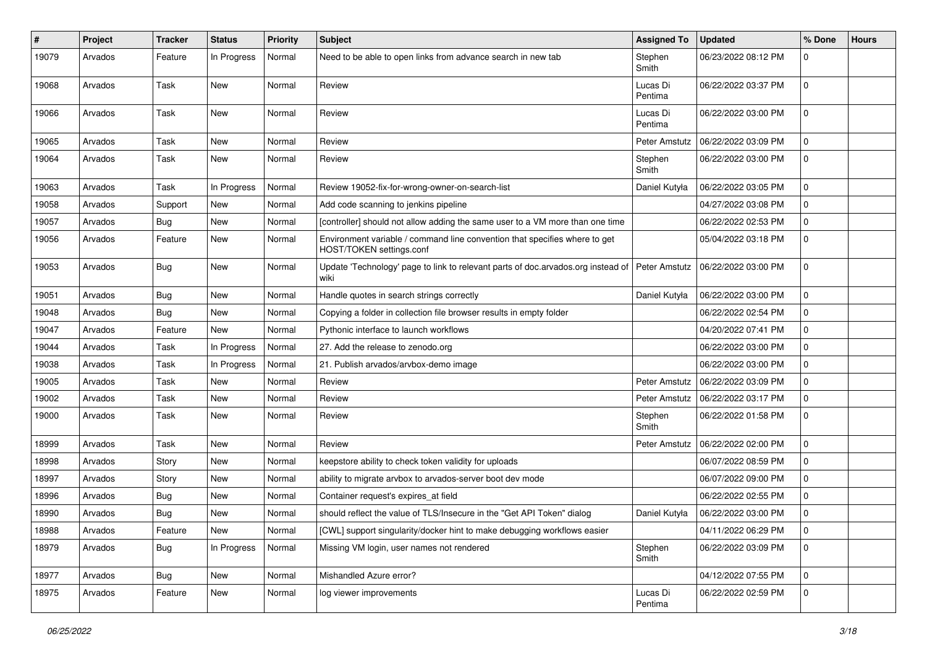| $\#$  | <b>Project</b> | <b>Tracker</b> | <b>Status</b> | <b>Priority</b> | <b>Subject</b>                                                                                         | <b>Assigned To</b>  | <b>Updated</b>      | % Done      | <b>Hours</b> |
|-------|----------------|----------------|---------------|-----------------|--------------------------------------------------------------------------------------------------------|---------------------|---------------------|-------------|--------------|
| 19079 | Arvados        | Feature        | In Progress   | Normal          | Need to be able to open links from advance search in new tab                                           | Stephen<br>Smith    | 06/23/2022 08:12 PM | 0           |              |
| 19068 | Arvados        | Task           | <b>New</b>    | Normal          | Review                                                                                                 | Lucas Di<br>Pentima | 06/22/2022 03:37 PM | $\mathbf 0$ |              |
| 19066 | Arvados        | Task           | <b>New</b>    | Normal          | Review                                                                                                 | Lucas Di<br>Pentima | 06/22/2022 03:00 PM | $\mathbf 0$ |              |
| 19065 | Arvados        | Task           | <b>New</b>    | Normal          | Review                                                                                                 | Peter Amstutz       | 06/22/2022 03:09 PM | $\mathbf 0$ |              |
| 19064 | Arvados        | Task           | New           | Normal          | Review                                                                                                 | Stephen<br>Smith    | 06/22/2022 03:00 PM | $\mathbf 0$ |              |
| 19063 | Arvados        | Task           | In Progress   | Normal          | Review 19052-fix-for-wrong-owner-on-search-list                                                        | Daniel Kutyła       | 06/22/2022 03:05 PM | 0           |              |
| 19058 | Arvados        | Support        | New           | Normal          | Add code scanning to jenkins pipeline                                                                  |                     | 04/27/2022 03:08 PM | $\mathbf 0$ |              |
| 19057 | Arvados        | Bug            | New           | Normal          | [controller] should not allow adding the same user to a VM more than one time                          |                     | 06/22/2022 02:53 PM | 0           |              |
| 19056 | Arvados        | Feature        | <b>New</b>    | Normal          | Environment variable / command line convention that specifies where to get<br>HOST/TOKEN settings.conf |                     | 05/04/2022 03:18 PM | 0           |              |
| 19053 | Arvados        | Bug            | New           | Normal          | Update 'Technology' page to link to relevant parts of doc.arvados.org instead of Peter Amstutz<br>wiki |                     | 06/22/2022 03:00 PM | $\mathbf 0$ |              |
| 19051 | Arvados        | <b>Bug</b>     | <b>New</b>    | Normal          | Handle quotes in search strings correctly                                                              | Daniel Kutyła       | 06/22/2022 03:00 PM | 0           |              |
| 19048 | Arvados        | Bug            | <b>New</b>    | Normal          | Copying a folder in collection file browser results in empty folder                                    |                     | 06/22/2022 02:54 PM | 0           |              |
| 19047 | Arvados        | Feature        | New           | Normal          | Pythonic interface to launch workflows                                                                 |                     | 04/20/2022 07:41 PM | $\mathbf 0$ |              |
| 19044 | Arvados        | Task           | In Progress   | Normal          | 27. Add the release to zenodo.org                                                                      |                     | 06/22/2022 03:00 PM | 0           |              |
| 19038 | Arvados        | Task           | In Progress   | Normal          | 21. Publish arvados/arvbox-demo image                                                                  |                     | 06/22/2022 03:00 PM | 0           |              |
| 19005 | Arvados        | Task           | New           | Normal          | Review                                                                                                 | Peter Amstutz       | 06/22/2022 03:09 PM | 0           |              |
| 19002 | Arvados        | Task           | <b>New</b>    | Normal          | Review                                                                                                 | Peter Amstutz       | 06/22/2022 03:17 PM | 0           |              |
| 19000 | Arvados        | Task           | New           | Normal          | Review                                                                                                 | Stephen<br>Smith    | 06/22/2022 01:58 PM | $\mathbf 0$ |              |
| 18999 | Arvados        | <b>Task</b>    | <b>New</b>    | Normal          | Review                                                                                                 | Peter Amstutz       | 06/22/2022 02:00 PM | 0           |              |
| 18998 | Arvados        | Story          | New           | Normal          | keepstore ability to check token validity for uploads                                                  |                     | 06/07/2022 08:59 PM | $\mathbf 0$ |              |
| 18997 | Arvados        | Story          | New           | Normal          | ability to migrate arvbox to arvados-server boot dev mode                                              |                     | 06/07/2022 09:00 PM | 0           |              |
| 18996 | Arvados        | Bug            | <b>New</b>    | Normal          | Container request's expires_at field                                                                   |                     | 06/22/2022 02:55 PM | 0           |              |
| 18990 | Arvados        | Bug            | New           | Normal          | should reflect the value of TLS/Insecure in the "Get API Token" dialog                                 | Daniel Kutyła       | 06/22/2022 03:00 PM | 0           |              |
| 18988 | Arvados        | Feature        | New           | Normal          | [CWL] support singularity/docker hint to make debugging workflows easier                               |                     | 04/11/2022 06:29 PM | 0           |              |
| 18979 | Arvados        | <b>Bug</b>     | In Progress   | Normal          | Missing VM login, user names not rendered                                                              | Stephen<br>Smith    | 06/22/2022 03:09 PM | 0           |              |
| 18977 | Arvados        | <b>Bug</b>     | New           | Normal          | Mishandled Azure error?                                                                                |                     | 04/12/2022 07:55 PM | $\mathbf 0$ |              |
| 18975 | Arvados        | Feature        | New           | Normal          | log viewer improvements                                                                                | Lucas Di<br>Pentima | 06/22/2022 02:59 PM | 0           |              |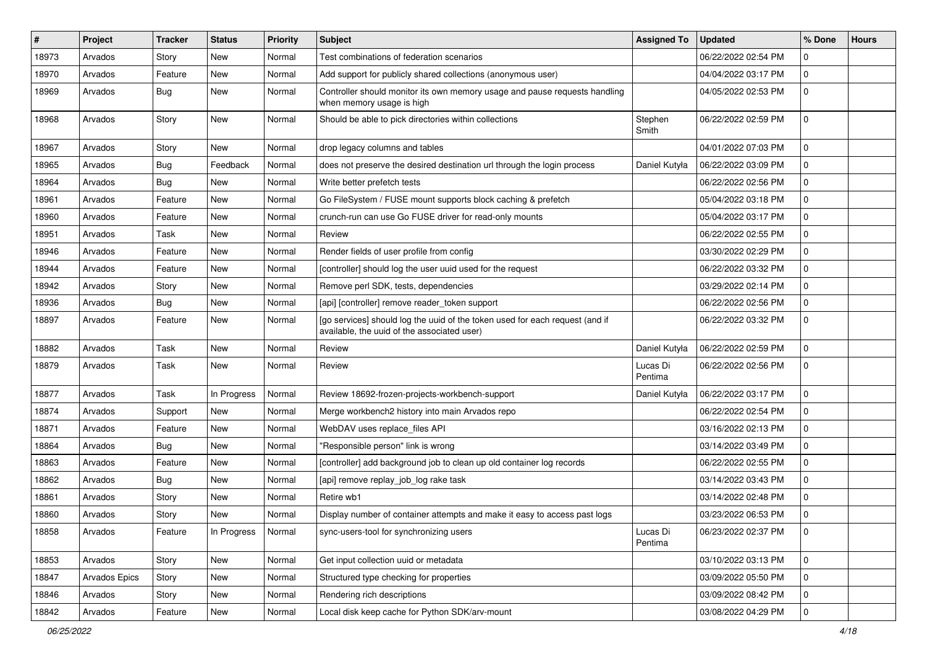| #     | Project              | <b>Tracker</b> | <b>Status</b> | <b>Priority</b> | <b>Subject</b>                                                                                                              | <b>Assigned To</b>  | <b>Updated</b>      | % Done      | <b>Hours</b> |
|-------|----------------------|----------------|---------------|-----------------|-----------------------------------------------------------------------------------------------------------------------------|---------------------|---------------------|-------------|--------------|
| 18973 | Arvados              | Story          | <b>New</b>    | Normal          | Test combinations of federation scenarios                                                                                   |                     | 06/22/2022 02:54 PM | $\mathbf 0$ |              |
| 18970 | Arvados              | Feature        | <b>New</b>    | Normal          | Add support for publicly shared collections (anonymous user)                                                                |                     | 04/04/2022 03:17 PM | 0           |              |
| 18969 | Arvados              | Bug            | New           | Normal          | Controller should monitor its own memory usage and pause requests handling<br>when memory usage is high                     |                     | 04/05/2022 02:53 PM | $\mathbf 0$ |              |
| 18968 | Arvados              | Story          | <b>New</b>    | Normal          | Should be able to pick directories within collections                                                                       | Stephen<br>Smith    | 06/22/2022 02:59 PM | $\mathbf 0$ |              |
| 18967 | Arvados              | Story          | New           | Normal          | drop legacy columns and tables                                                                                              |                     | 04/01/2022 07:03 PM | $\mathbf 0$ |              |
| 18965 | Arvados              | <b>Bug</b>     | Feedback      | Normal          | does not preserve the desired destination url through the login process                                                     | Daniel Kutyła       | 06/22/2022 03:09 PM | $\mathbf 0$ |              |
| 18964 | Arvados              | Bug            | <b>New</b>    | Normal          | Write better prefetch tests                                                                                                 |                     | 06/22/2022 02:56 PM | 0           |              |
| 18961 | Arvados              | Feature        | <b>New</b>    | Normal          | Go FileSystem / FUSE mount supports block caching & prefetch                                                                |                     | 05/04/2022 03:18 PM | 0           |              |
| 18960 | Arvados              | Feature        | New           | Normal          | crunch-run can use Go FUSE driver for read-only mounts                                                                      |                     | 05/04/2022 03:17 PM | $\mathbf 0$ |              |
| 18951 | Arvados              | Task           | New           | Normal          | Review                                                                                                                      |                     | 06/22/2022 02:55 PM | $\mathbf 0$ |              |
| 18946 | Arvados              | Feature        | <b>New</b>    | Normal          | Render fields of user profile from config                                                                                   |                     | 03/30/2022 02:29 PM | $\mathbf 0$ |              |
| 18944 | Arvados              | Feature        | New           | Normal          | [controller] should log the user uuid used for the request                                                                  |                     | 06/22/2022 03:32 PM | $\mathbf 0$ |              |
| 18942 | Arvados              | Story          | New           | Normal          | Remove perl SDK, tests, dependencies                                                                                        |                     | 03/29/2022 02:14 PM | $\mathbf 0$ |              |
| 18936 | Arvados              | Bug            | New           | Normal          | [api] [controller] remove reader_token support                                                                              |                     | 06/22/2022 02:56 PM | $\mathbf 0$ |              |
| 18897 | Arvados              | Feature        | New           | Normal          | [go services] should log the uuid of the token used for each request (and if<br>available, the uuid of the associated user) |                     | 06/22/2022 03:32 PM | $\mathbf 0$ |              |
| 18882 | Arvados              | Task           | <b>New</b>    | Normal          | Review                                                                                                                      | Daniel Kutyła       | 06/22/2022 02:59 PM | $\mathbf 0$ |              |
| 18879 | Arvados              | Task           | New           | Normal          | Review                                                                                                                      | Lucas Di<br>Pentima | 06/22/2022 02:56 PM | $\mathbf 0$ |              |
| 18877 | Arvados              | Task           | In Progress   | Normal          | Review 18692-frozen-projects-workbench-support                                                                              | Daniel Kutyła       | 06/22/2022 03:17 PM | $\mathbf 0$ |              |
| 18874 | Arvados              | Support        | <b>New</b>    | Normal          | Merge workbench2 history into main Arvados repo                                                                             |                     | 06/22/2022 02:54 PM | $\mathbf 0$ |              |
| 18871 | Arvados              | Feature        | New           | Normal          | WebDAV uses replace_files API                                                                                               |                     | 03/16/2022 02:13 PM | $\mathbf 0$ |              |
| 18864 | Arvados              | Bug            | New           | Normal          | "Responsible person" link is wrong                                                                                          |                     | 03/14/2022 03:49 PM | $\Omega$    |              |
| 18863 | Arvados              | Feature        | <b>New</b>    | Normal          | [controller] add background job to clean up old container log records                                                       |                     | 06/22/2022 02:55 PM | $\mathbf 0$ |              |
| 18862 | Arvados              | <b>Bug</b>     | New           | Normal          | [api] remove replay_job_log rake task                                                                                       |                     | 03/14/2022 03:43 PM | $\mathbf 0$ |              |
| 18861 | Arvados              | Story          | New           | Normal          | Retire wb1                                                                                                                  |                     | 03/14/2022 02:48 PM | $\mathbf 0$ |              |
| 18860 | Arvados              | Story          | New           | Normal          | Display number of container attempts and make it easy to access past logs                                                   |                     | 03/23/2022 06:53 PM | 0           |              |
| 18858 | Arvados              | Feature        | In Progress   | Normal          | sync-users-tool for synchronizing users                                                                                     | Lucas Di<br>Pentima | 06/23/2022 02:37 PM | 0           |              |
| 18853 | Arvados              | Story          | New           | Normal          | Get input collection uuid or metadata                                                                                       |                     | 03/10/2022 03:13 PM | $\mathbf 0$ |              |
| 18847 | <b>Arvados Epics</b> | Story          | New           | Normal          | Structured type checking for properties                                                                                     |                     | 03/09/2022 05:50 PM | 0           |              |
| 18846 | Arvados              | Story          | New           | Normal          | Rendering rich descriptions                                                                                                 |                     | 03/09/2022 08:42 PM | $\mathbf 0$ |              |
| 18842 | Arvados              | Feature        | New           | Normal          | Local disk keep cache for Python SDK/arv-mount                                                                              |                     | 03/08/2022 04:29 PM | $\mathbf 0$ |              |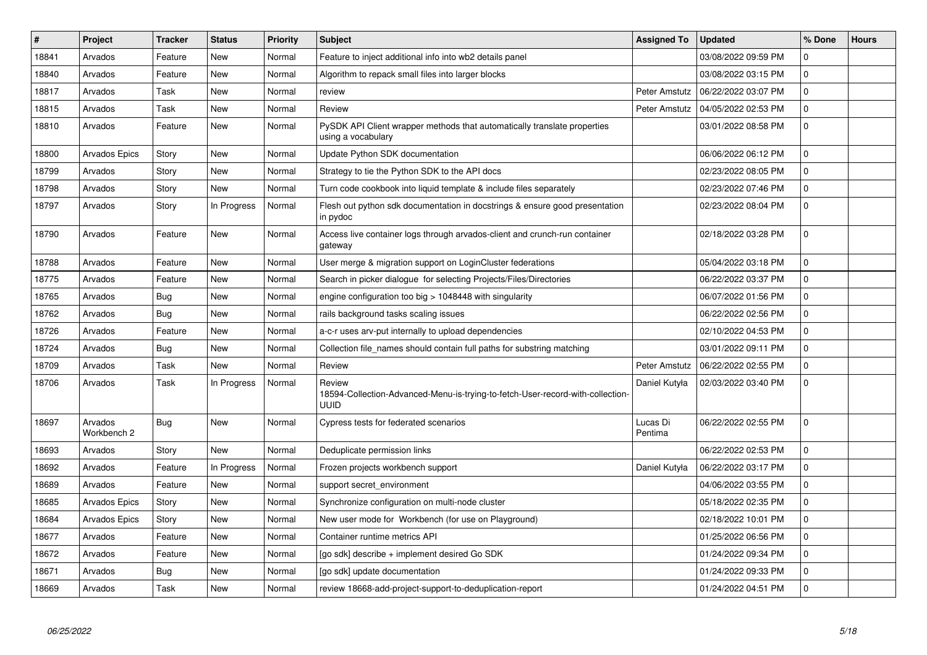| $\#$  | Project                | <b>Tracker</b> | <b>Status</b> | <b>Priority</b> | <b>Subject</b>                                                                                   | <b>Assigned To</b>  | <b>Updated</b>      | % Done         | <b>Hours</b> |
|-------|------------------------|----------------|---------------|-----------------|--------------------------------------------------------------------------------------------------|---------------------|---------------------|----------------|--------------|
| 18841 | Arvados                | Feature        | <b>New</b>    | Normal          | Feature to inject additional info into wb2 details panel                                         |                     | 03/08/2022 09:59 PM | 0              |              |
| 18840 | Arvados                | Feature        | <b>New</b>    | Normal          | Algorithm to repack small files into larger blocks                                               |                     | 03/08/2022 03:15 PM | 0              |              |
| 18817 | Arvados                | Task           | <b>New</b>    | Normal          | review                                                                                           | Peter Amstutz       | 06/22/2022 03:07 PM | $\Omega$       |              |
| 18815 | Arvados                | Task           | <b>New</b>    | Normal          | Review                                                                                           | Peter Amstutz       | 04/05/2022 02:53 PM | 0              |              |
| 18810 | Arvados                | Feature        | <b>New</b>    | Normal          | PySDK API Client wrapper methods that automatically translate properties<br>using a vocabulary   |                     | 03/01/2022 08:58 PM | 0              |              |
| 18800 | Arvados Epics          | Story          | <b>New</b>    | Normal          | Update Python SDK documentation                                                                  |                     | 06/06/2022 06:12 PM | $\Omega$       |              |
| 18799 | Arvados                | Story          | <b>New</b>    | Normal          | Strategy to tie the Python SDK to the API docs                                                   |                     | 02/23/2022 08:05 PM | $\overline{0}$ |              |
| 18798 | Arvados                | Story          | <b>New</b>    | Normal          | Turn code cookbook into liquid template & include files separately                               |                     | 02/23/2022 07:46 PM | 0              |              |
| 18797 | Arvados                | Story          | In Progress   | Normal          | Flesh out python sdk documentation in docstrings & ensure good presentation<br>in pydoc          |                     | 02/23/2022 08:04 PM | $\mathbf 0$    |              |
| 18790 | Arvados                | Feature        | <b>New</b>    | Normal          | Access live container logs through arvados-client and crunch-run container<br>gateway            |                     | 02/18/2022 03:28 PM | $\Omega$       |              |
| 18788 | Arvados                | Feature        | <b>New</b>    | Normal          | User merge & migration support on LoginCluster federations                                       |                     | 05/04/2022 03:18 PM | 0              |              |
| 18775 | Arvados                | Feature        | <b>New</b>    | Normal          | Search in picker dialogue for selecting Projects/Files/Directories                               |                     | 06/22/2022 03:37 PM | 0              |              |
| 18765 | Arvados                | Bug            | <b>New</b>    | Normal          | engine configuration too big $>$ 1048448 with singularity                                        |                     | 06/07/2022 01:56 PM | $\mathbf 0$    |              |
| 18762 | Arvados                | Bug            | <b>New</b>    | Normal          | rails background tasks scaling issues                                                            |                     | 06/22/2022 02:56 PM | 0              |              |
| 18726 | Arvados                | Feature        | <b>New</b>    | Normal          | a-c-r uses arv-put internally to upload dependencies                                             |                     | 02/10/2022 04:53 PM | 0              |              |
| 18724 | Arvados                | <b>Bug</b>     | <b>New</b>    | Normal          | Collection file_names should contain full paths for substring matching                           |                     | 03/01/2022 09:11 PM | 0              |              |
| 18709 | Arvados                | Task           | <b>New</b>    | Normal          | Review                                                                                           | Peter Amstutz       | 06/22/2022 02:55 PM | 0              |              |
| 18706 | Arvados                | Task           | In Progress   | Normal          | Review<br>18594-Collection-Advanced-Menu-is-trying-to-fetch-User-record-with-collection-<br>UUID | Daniel Kutyła       | 02/03/2022 03:40 PM | 0              |              |
| 18697 | Arvados<br>Workbench 2 | Bug            | <b>New</b>    | Normal          | Cypress tests for federated scenarios                                                            | Lucas Di<br>Pentima | 06/22/2022 02:55 PM | $\mathbf 0$    |              |
| 18693 | Arvados                | Story          | New           | Normal          | Deduplicate permission links                                                                     |                     | 06/22/2022 02:53 PM | $\mathbf 0$    |              |
| 18692 | Arvados                | Feature        | In Progress   | Normal          | Frozen projects workbench support                                                                | Daniel Kutyła       | 06/22/2022 03:17 PM | $\overline{0}$ |              |
| 18689 | Arvados                | Feature        | <b>New</b>    | Normal          | support secret environment                                                                       |                     | 04/06/2022 03:55 PM | 0              |              |
| 18685 | <b>Arvados Epics</b>   | Story          | <b>New</b>    | Normal          | Synchronize configuration on multi-node cluster                                                  |                     | 05/18/2022 02:35 PM | $\overline{0}$ |              |
| 18684 | Arvados Epics          | Story          | <b>New</b>    | Normal          | New user mode for Workbench (for use on Playground)                                              |                     | 02/18/2022 10:01 PM | 0              |              |
| 18677 | Arvados                | Feature        | <b>New</b>    | Normal          | Container runtime metrics API                                                                    |                     | 01/25/2022 06:56 PM | $\overline{0}$ |              |
| 18672 | Arvados                | Feature        | New           | Normal          | [go sdk] describe + implement desired Go SDK                                                     |                     | 01/24/2022 09:34 PM | 0              |              |
| 18671 | Arvados                | <b>Bug</b>     | <b>New</b>    | Normal          | [go sdk] update documentation                                                                    |                     | 01/24/2022 09:33 PM | 0              |              |
| 18669 | Arvados                | Task           | <b>New</b>    | Normal          | review 18668-add-project-support-to-deduplication-report                                         |                     | 01/24/2022 04:51 PM | 0              |              |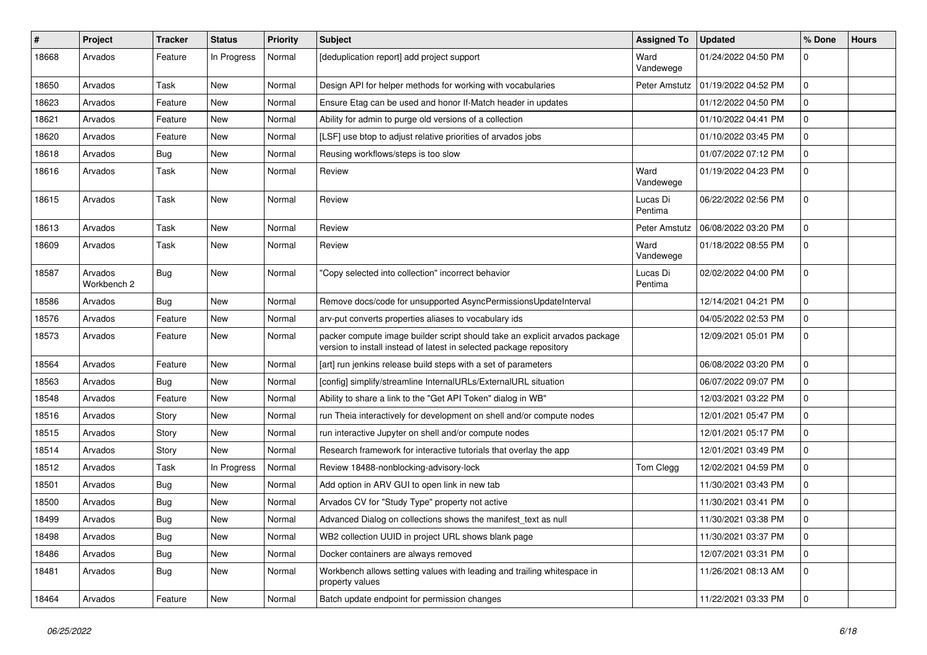| #     | <b>Project</b>         | <b>Tracker</b> | <b>Status</b> | <b>Priority</b> | <b>Subject</b>                                                                                                                                     | <b>Assigned To</b>  | <b>Updated</b>      | % Done       | <b>Hours</b> |
|-------|------------------------|----------------|---------------|-----------------|----------------------------------------------------------------------------------------------------------------------------------------------------|---------------------|---------------------|--------------|--------------|
| 18668 | Arvados                | Feature        | In Progress   | Normal          | [deduplication report] add project support                                                                                                         | Ward<br>Vandewege   | 01/24/2022 04:50 PM | 0            |              |
| 18650 | Arvados                | Task           | New           | Normal          | Design API for helper methods for working with vocabularies                                                                                        | Peter Amstutz       | 01/19/2022 04:52 PM | 0            |              |
| 18623 | Arvados                | Feature        | New           | Normal          | Ensure Etag can be used and honor If-Match header in updates                                                                                       |                     | 01/12/2022 04:50 PM | 0            |              |
| 18621 | Arvados                | Feature        | <b>New</b>    | Normal          | Ability for admin to purge old versions of a collection                                                                                            |                     | 01/10/2022 04:41 PM | 0            |              |
| 18620 | Arvados                | Feature        | New           | Normal          | [LSF] use btop to adjust relative priorities of arvados jobs                                                                                       |                     | 01/10/2022 03:45 PM | 0            |              |
| 18618 | Arvados                | Bug            | <b>New</b>    | Normal          | Reusing workflows/steps is too slow                                                                                                                |                     | 01/07/2022 07:12 PM | 0            |              |
| 18616 | Arvados                | Task           | New           | Normal          | Review                                                                                                                                             | Ward<br>Vandewege   | 01/19/2022 04:23 PM | 0            |              |
| 18615 | Arvados                | Task           | New           | Normal          | Review                                                                                                                                             | Lucas Di<br>Pentima | 06/22/2022 02:56 PM | 0            |              |
| 18613 | Arvados                | Task           | <b>New</b>    | Normal          | Review                                                                                                                                             | Peter Amstutz       | 06/08/2022 03:20 PM | 0            |              |
| 18609 | Arvados                | Task           | New           | Normal          | Review                                                                                                                                             | Ward<br>Vandewege   | 01/18/2022 08:55 PM | 0            |              |
| 18587 | Arvados<br>Workbench 2 | Bug            | New           | Normal          | 'Copy selected into collection" incorrect behavior                                                                                                 | Lucas Di<br>Pentima | 02/02/2022 04:00 PM | 0            |              |
| 18586 | Arvados                | Bug            | <b>New</b>    | Normal          | Remove docs/code for unsupported AsyncPermissionsUpdateInterval                                                                                    |                     | 12/14/2021 04:21 PM | 0            |              |
| 18576 | Arvados                | Feature        | New           | Normal          | arv-put converts properties aliases to vocabulary ids                                                                                              |                     | 04/05/2022 02:53 PM | 0            |              |
| 18573 | Arvados                | Feature        | New           | Normal          | packer compute image builder script should take an explicit arvados package<br>version to install instead of latest in selected package repository |                     | 12/09/2021 05:01 PM | 0            |              |
| 18564 | Arvados                | Feature        | <b>New</b>    | Normal          | [art] run jenkins release build steps with a set of parameters                                                                                     |                     | 06/08/2022 03:20 PM | 0            |              |
| 18563 | Arvados                | <b>Bug</b>     | New           | Normal          | [config] simplify/streamline InternalURLs/ExternalURL situation                                                                                    |                     | 06/07/2022 09:07 PM | 0            |              |
| 18548 | Arvados                | Feature        | New           | Normal          | Ability to share a link to the "Get API Token" dialog in WB"                                                                                       |                     | 12/03/2021 03:22 PM | 0            |              |
| 18516 | Arvados                | Story          | New           | Normal          | run Theia interactively for development on shell and/or compute nodes                                                                              |                     | 12/01/2021 05:47 PM | 0            |              |
| 18515 | Arvados                | Story          | New           | Normal          | run interactive Jupyter on shell and/or compute nodes                                                                                              |                     | 12/01/2021 05:17 PM | 0            |              |
| 18514 | Arvados                | Story          | <b>New</b>    | Normal          | Research framework for interactive tutorials that overlay the app                                                                                  |                     | 12/01/2021 03:49 PM | 0            |              |
| 18512 | Arvados                | Task           | In Progress   | Normal          | Review 18488-nonblocking-advisory-lock                                                                                                             | Tom Clegg           | 12/02/2021 04:59 PM | $\mathbf{0}$ |              |
| 18501 | Arvados                | Bug            | New           | Normal          | Add option in ARV GUI to open link in new tab                                                                                                      |                     | 11/30/2021 03:43 PM | 0            |              |
| 18500 | Arvados                | Bug            | <b>New</b>    | Normal          | Arvados CV for "Study Type" property not active                                                                                                    |                     | 11/30/2021 03:41 PM | 0            |              |
| 18499 | Arvados                | <b>Bug</b>     | New           | Normal          | Advanced Dialog on collections shows the manifest text as null                                                                                     |                     | 11/30/2021 03:38 PM | 0            |              |
| 18498 | Arvados                | Bug            | <b>New</b>    | Normal          | WB2 collection UUID in project URL shows blank page                                                                                                |                     | 11/30/2021 03:37 PM | $\mathbf 0$  |              |
| 18486 | Arvados                | Bug            | New           | Normal          | Docker containers are always removed                                                                                                               |                     | 12/07/2021 03:31 PM | 0            |              |
| 18481 | Arvados                | Bug            | New           | Normal          | Workbench allows setting values with leading and trailing whitespace in<br>property values                                                         |                     | 11/26/2021 08:13 AM | 0            |              |
| 18464 | Arvados                | Feature        | New           | Normal          | Batch update endpoint for permission changes                                                                                                       |                     | 11/22/2021 03:33 PM | $\mathbf 0$  |              |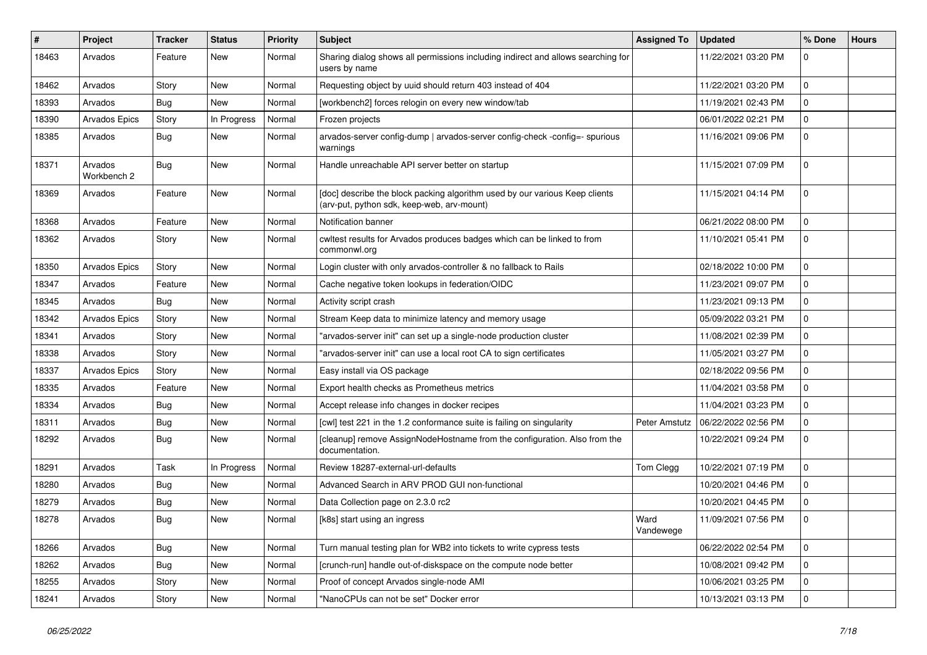| ∦     | Project                | <b>Tracker</b> | <b>Status</b> | <b>Priority</b> | Subject                                                                                                                   | <b>Assigned To</b> | <b>Updated</b>      | % Done      | <b>Hours</b> |
|-------|------------------------|----------------|---------------|-----------------|---------------------------------------------------------------------------------------------------------------------------|--------------------|---------------------|-------------|--------------|
| 18463 | Arvados                | Feature        | New           | Normal          | Sharing dialog shows all permissions including indirect and allows searching for<br>users by name                         |                    | 11/22/2021 03:20 PM | 0           |              |
| 18462 | Arvados                | Story          | New           | Normal          | Requesting object by uuid should return 403 instead of 404                                                                |                    | 11/22/2021 03:20 PM | $\mathbf 0$ |              |
| 18393 | Arvados                | Bug            | New           | Normal          | [workbench2] forces relogin on every new window/tab                                                                       |                    | 11/19/2021 02:43 PM | 0           |              |
| 18390 | Arvados Epics          | Story          | In Progress   | Normal          | Frozen projects                                                                                                           |                    | 06/01/2022 02:21 PM | 0           |              |
| 18385 | Arvados                | Bug            | New           | Normal          | arvados-server config-dump   arvados-server config-check -config=- spurious<br>warnings                                   |                    | 11/16/2021 09:06 PM | 0           |              |
| 18371 | Arvados<br>Workbench 2 | Bug            | New           | Normal          | Handle unreachable API server better on startup                                                                           |                    | 11/15/2021 07:09 PM | 0           |              |
| 18369 | Arvados                | Feature        | New           | Normal          | [doc] describe the block packing algorithm used by our various Keep clients<br>(arv-put, python sdk, keep-web, arv-mount) |                    | 11/15/2021 04:14 PM | 0           |              |
| 18368 | Arvados                | Feature        | <b>New</b>    | Normal          | Notification banner                                                                                                       |                    | 06/21/2022 08:00 PM | 0           |              |
| 18362 | Arvados                | Story          | <b>New</b>    | Normal          | cwltest results for Arvados produces badges which can be linked to from<br>commonwl.org                                   |                    | 11/10/2021 05:41 PM | 0           |              |
| 18350 | <b>Arvados Epics</b>   | Story          | New           | Normal          | Login cluster with only arvados-controller & no fallback to Rails                                                         |                    | 02/18/2022 10:00 PM | 0           |              |
| 18347 | Arvados                | Feature        | <b>New</b>    | Normal          | Cache negative token lookups in federation/OIDC                                                                           |                    | 11/23/2021 09:07 PM | 0           |              |
| 18345 | Arvados                | Bug            | New           | Normal          | Activity script crash                                                                                                     |                    | 11/23/2021 09:13 PM | 0           |              |
| 18342 | Arvados Epics          | Story          | New           | Normal          | Stream Keep data to minimize latency and memory usage                                                                     |                    | 05/09/2022 03:21 PM | 0           |              |
| 18341 | Arvados                | Story          | New           | Normal          | "arvados-server init" can set up a single-node production cluster                                                         |                    | 11/08/2021 02:39 PM | 0           |              |
| 18338 | Arvados                | Story          | New           | Normal          | "arvados-server init" can use a local root CA to sign certificates                                                        |                    | 11/05/2021 03:27 PM | 0           |              |
| 18337 | Arvados Epics          | Story          | <b>New</b>    | Normal          | Easy install via OS package                                                                                               |                    | 02/18/2022 09:56 PM | 0           |              |
| 18335 | Arvados                | Feature        | New           | Normal          | Export health checks as Prometheus metrics                                                                                |                    | 11/04/2021 03:58 PM | 0           |              |
| 18334 | Arvados                | Bug            | New           | Normal          | Accept release info changes in docker recipes                                                                             |                    | 11/04/2021 03:23 PM | 0           |              |
| 18311 | Arvados                | Bug            | New           | Normal          | [cwl] test 221 in the 1.2 conformance suite is failing on singularity                                                     | Peter Amstutz      | 06/22/2022 02:56 PM | 0           |              |
| 18292 | Arvados                | Bug            | New           | Normal          | [cleanup] remove AssignNodeHostname from the configuration. Also from the<br>documentation.                               |                    | 10/22/2021 09:24 PM | 0           |              |
| 18291 | Arvados                | Task           | In Progress   | Normal          | Review 18287-external-url-defaults                                                                                        | Tom Clegg          | 10/22/2021 07:19 PM | 0           |              |
| 18280 | Arvados                | <b>Bug</b>     | New           | Normal          | Advanced Search in ARV PROD GUI non-functional                                                                            |                    | 10/20/2021 04:46 PM | 0           |              |
| 18279 | Arvados                | Bug            | New           | Normal          | Data Collection page on 2.3.0 rc2                                                                                         |                    | 10/20/2021 04:45 PM | 0           |              |
| 18278 | Arvados                | Bug            | <b>New</b>    | Normal          | [k8s] start using an ingress                                                                                              | Ward<br>Vandewege  | 11/09/2021 07:56 PM | 0           |              |
| 18266 | Arvados                | Bug            | New           | Normal          | Turn manual testing plan for WB2 into tickets to write cypress tests                                                      |                    | 06/22/2022 02:54 PM | 0           |              |
| 18262 | Arvados                | <b>Bug</b>     | New           | Normal          | [crunch-run] handle out-of-diskspace on the compute node better                                                           |                    | 10/08/2021 09:42 PM | $\mathbf 0$ |              |
| 18255 | Arvados                | Story          | New           | Normal          | Proof of concept Arvados single-node AMI                                                                                  |                    | 10/06/2021 03:25 PM | 0           |              |
| 18241 | Arvados                | Story          | New           | Normal          | "NanoCPUs can not be set" Docker error                                                                                    |                    | 10/13/2021 03:13 PM | 0           |              |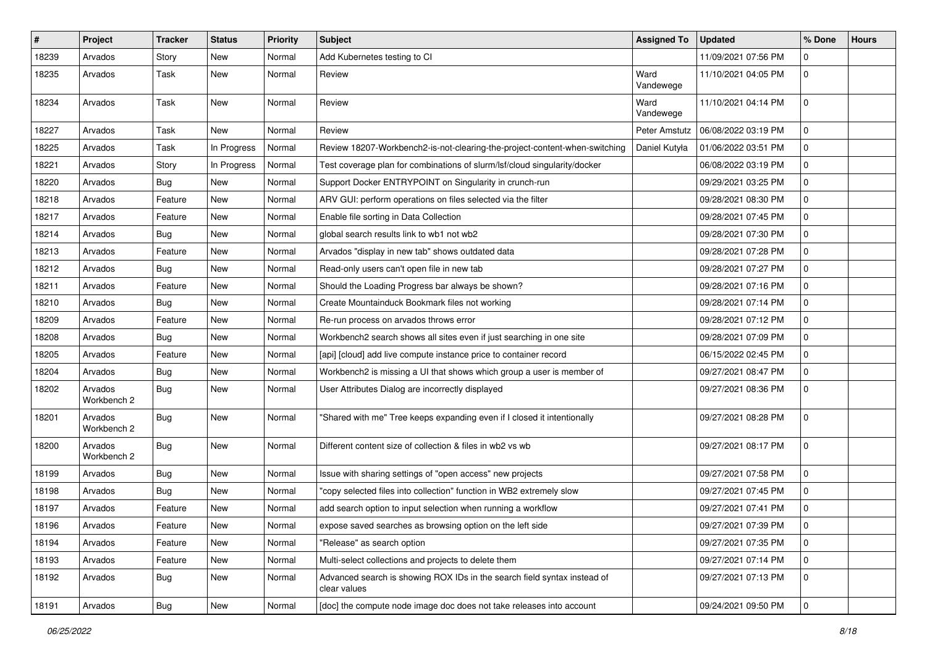| $\pmb{\#}$ | Project                | <b>Tracker</b> | <b>Status</b> | <b>Priority</b> | <b>Subject</b>                                                                           | <b>Assigned To</b> | <b>Updated</b>      | % Done         | <b>Hours</b> |
|------------|------------------------|----------------|---------------|-----------------|------------------------------------------------------------------------------------------|--------------------|---------------------|----------------|--------------|
| 18239      | Arvados                | Story          | New           | Normal          | Add Kubernetes testing to CI                                                             |                    | 11/09/2021 07:56 PM | 0              |              |
| 18235      | Arvados                | Task           | <b>New</b>    | Normal          | Review                                                                                   | Ward<br>Vandewege  | 11/10/2021 04:05 PM | 0              |              |
| 18234      | Arvados                | Task           | New           | Normal          | Review                                                                                   | Ward<br>Vandewege  | 11/10/2021 04:14 PM | $\mathbf 0$    |              |
| 18227      | Arvados                | Task           | New           | Normal          | Review                                                                                   | Peter Amstutz      | 06/08/2022 03:19 PM | 0              |              |
| 18225      | Arvados                | Task           | In Progress   | Normal          | Review 18207-Workbench2-is-not-clearing-the-project-content-when-switching               | Daniel Kutyła      | 01/06/2022 03:51 PM | 0              |              |
| 18221      | Arvados                | Story          | In Progress   | Normal          | Test coverage plan for combinations of slurm/lsf/cloud singularity/docker                |                    | 06/08/2022 03:19 PM | 0              |              |
| 18220      | Arvados                | Bug            | New           | Normal          | Support Docker ENTRYPOINT on Singularity in crunch-run                                   |                    | 09/29/2021 03:25 PM | 0              |              |
| 18218      | Arvados                | Feature        | <b>New</b>    | Normal          | ARV GUI: perform operations on files selected via the filter                             |                    | 09/28/2021 08:30 PM | 0              |              |
| 18217      | Arvados                | Feature        | New           | Normal          | Enable file sorting in Data Collection                                                   |                    | 09/28/2021 07:45 PM | 0              |              |
| 18214      | Arvados                | Bug            | <b>New</b>    | Normal          | global search results link to wb1 not wb2                                                |                    | 09/28/2021 07:30 PM | 0              |              |
| 18213      | Arvados                | Feature        | New           | Normal          | Arvados "display in new tab" shows outdated data                                         |                    | 09/28/2021 07:28 PM | 0              |              |
| 18212      | Arvados                | Bug            | New           | Normal          | Read-only users can't open file in new tab                                               |                    | 09/28/2021 07:27 PM | 0              |              |
| 18211      | Arvados                | Feature        | <b>New</b>    | Normal          | Should the Loading Progress bar always be shown?                                         |                    | 09/28/2021 07:16 PM | 0              |              |
| 18210      | Arvados                | Bug            | New           | Normal          | Create Mountainduck Bookmark files not working                                           |                    | 09/28/2021 07:14 PM | 0              |              |
| 18209      | Arvados                | Feature        | <b>New</b>    | Normal          | Re-run process on arvados throws error                                                   |                    | 09/28/2021 07:12 PM | 0              |              |
| 18208      | Arvados                | Bug            | New           | Normal          | Workbench2 search shows all sites even if just searching in one site                     |                    | 09/28/2021 07:09 PM | 0              |              |
| 18205      | Arvados                | Feature        | New           | Normal          | [api] [cloud] add live compute instance price to container record                        |                    | 06/15/2022 02:45 PM | 0              |              |
| 18204      | Arvados                | <b>Bug</b>     | <b>New</b>    | Normal          | Workbench2 is missing a UI that shows which group a user is member of                    |                    | 09/27/2021 08:47 PM | 0              |              |
| 18202      | Arvados<br>Workbench 2 | Bug            | New           | Normal          | User Attributes Dialog are incorrectly displayed                                         |                    | 09/27/2021 08:36 PM | 0              |              |
| 18201      | Arvados<br>Workbench 2 | Bug            | <b>New</b>    | Normal          | "Shared with me" Tree keeps expanding even if I closed it intentionally                  |                    | 09/27/2021 08:28 PM | 0              |              |
| 18200      | Arvados<br>Workbench 2 | Bug            | New           | Normal          | Different content size of collection & files in wb2 vs wb                                |                    | 09/27/2021 08:17 PM | 0              |              |
| 18199      | Arvados                | Bug            | New           | Normal          | Issue with sharing settings of "open access" new projects                                |                    | 09/27/2021 07:58 PM | 0              |              |
| 18198      | Arvados                | Bug            | <b>New</b>    | Normal          | "copy selected files into collection" function in WB2 extremely slow                     |                    | 09/27/2021 07:45 PM | 0              |              |
| 18197      | Arvados                | Feature        | New           | Normal          | add search option to input selection when running a workflow                             |                    | 09/27/2021 07:41 PM | 0              |              |
| 18196      | Arvados                | Feature        | New           | Normal          | expose saved searches as browsing option on the left side                                |                    | 09/27/2021 07:39 PM | $\overline{0}$ |              |
| 18194      | Arvados                | Feature        | New           | Normal          | "Release" as search option                                                               |                    | 09/27/2021 07:35 PM | 0              |              |
| 18193      | Arvados                | Feature        | New           | Normal          | Multi-select collections and projects to delete them                                     |                    | 09/27/2021 07:14 PM | $\mathbf 0$    |              |
| 18192      | Arvados                | Bug            | New           | Normal          | Advanced search is showing ROX IDs in the search field syntax instead of<br>clear values |                    | 09/27/2021 07:13 PM | $\mathbf{0}$   |              |
| 18191      | Arvados                | <b>Bug</b>     | New           | Normal          | [doc] the compute node image doc does not take releases into account                     |                    | 09/24/2021 09:50 PM | $\mathbf 0$    |              |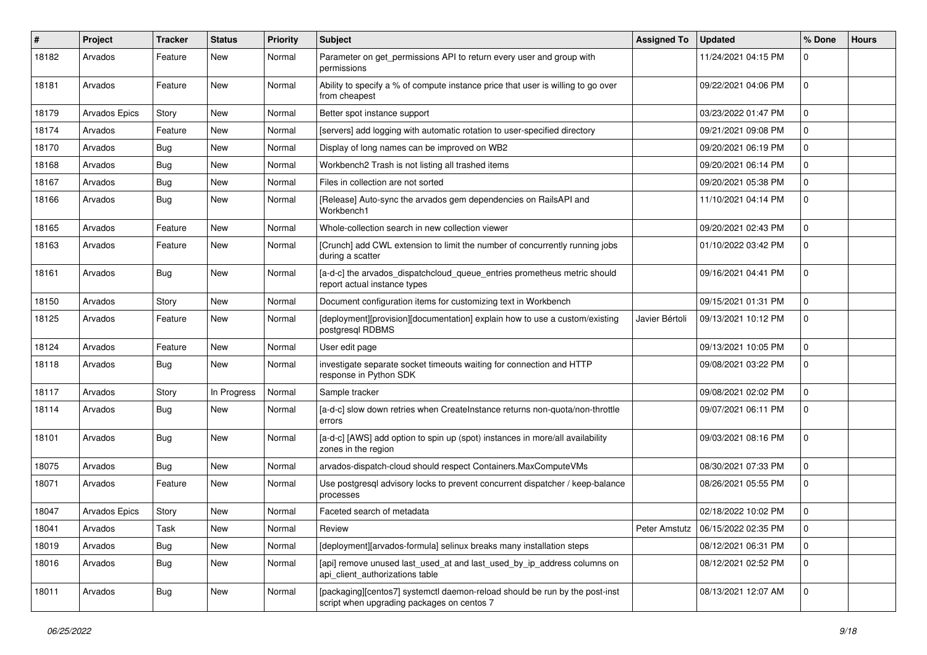| ∦     | Project              | <b>Tracker</b> | <b>Status</b> | <b>Priority</b> | Subject                                                                                                                   | <b>Assigned To</b> | <b>Updated</b>                      | % Done      | <b>Hours</b> |
|-------|----------------------|----------------|---------------|-----------------|---------------------------------------------------------------------------------------------------------------------------|--------------------|-------------------------------------|-------------|--------------|
| 18182 | Arvados              | Feature        | New           | Normal          | Parameter on get_permissions API to return every user and group with<br>permissions                                       |                    | 11/24/2021 04:15 PM                 | 0           |              |
| 18181 | Arvados              | Feature        | New           | Normal          | Ability to specify a % of compute instance price that user is willing to go over<br>from cheapest                         |                    | 09/22/2021 04:06 PM                 | 0           |              |
| 18179 | <b>Arvados Epics</b> | Story          | <b>New</b>    | Normal          | Better spot instance support                                                                                              |                    | 03/23/2022 01:47 PM                 | 0           |              |
| 18174 | Arvados              | Feature        | New           | Normal          | [servers] add logging with automatic rotation to user-specified directory                                                 |                    | 09/21/2021 09:08 PM                 | 0           |              |
| 18170 | Arvados              | <b>Bug</b>     | New           | Normal          | Display of long names can be improved on WB2                                                                              |                    | 09/20/2021 06:19 PM                 | 0           |              |
| 18168 | Arvados              | Bug            | New           | Normal          | Workbench2 Trash is not listing all trashed items                                                                         |                    | 09/20/2021 06:14 PM                 | 0           |              |
| 18167 | Arvados              | Bug            | <b>New</b>    | Normal          | Files in collection are not sorted                                                                                        |                    | 09/20/2021 05:38 PM                 | 0           |              |
| 18166 | Arvados              | Bug            | New           | Normal          | [Release] Auto-sync the arvados gem dependencies on RailsAPI and<br>Workbench1                                            |                    | 11/10/2021 04:14 PM                 | 0           |              |
| 18165 | Arvados              | Feature        | <b>New</b>    | Normal          | Whole-collection search in new collection viewer                                                                          |                    | 09/20/2021 02:43 PM                 | 0           |              |
| 18163 | Arvados              | Feature        | New           | Normal          | [Crunch] add CWL extension to limit the number of concurrently running jobs<br>during a scatter                           |                    | 01/10/2022 03:42 PM                 | 0           |              |
| 18161 | Arvados              | Bug            | New           | Normal          | [a-d-c] the arvados_dispatchcloud_queue_entries prometheus metric should<br>report actual instance types                  |                    | 09/16/2021 04:41 PM                 | $\Omega$    |              |
| 18150 | Arvados              | Story          | <b>New</b>    | Normal          | Document configuration items for customizing text in Workbench                                                            |                    | 09/15/2021 01:31 PM                 | 0           |              |
| 18125 | Arvados              | Feature        | New           | Normal          | [deployment][provision][documentation] explain how to use a custom/existing<br>postgresql RDBMS                           | Javier Bértoli     | 09/13/2021 10:12 PM                 | 0           |              |
| 18124 | Arvados              | Feature        | New           | Normal          | User edit page                                                                                                            |                    | 09/13/2021 10:05 PM                 | 0           |              |
| 18118 | Arvados              | Bug            | New           | Normal          | investigate separate socket timeouts waiting for connection and HTTP<br>response in Python SDK                            |                    | 09/08/2021 03:22 PM                 | 0           |              |
| 18117 | Arvados              | Story          | In Progress   | Normal          | Sample tracker                                                                                                            |                    | 09/08/2021 02:02 PM                 | 0           |              |
| 18114 | Arvados              | Bug            | <b>New</b>    | Normal          | [a-d-c] slow down retries when CreateInstance returns non-quota/non-throttle<br>errors                                    |                    | 09/07/2021 06:11 PM                 | 0           |              |
| 18101 | Arvados              | Bug            | New           | Normal          | [a-d-c] [AWS] add option to spin up (spot) instances in more/all availability<br>zones in the region                      |                    | 09/03/2021 08:16 PM                 | 0           |              |
| 18075 | Arvados              | Bug            | <b>New</b>    | Normal          | arvados-dispatch-cloud should respect Containers.MaxComputeVMs                                                            |                    | 08/30/2021 07:33 PM                 | 0           |              |
| 18071 | Arvados              | Feature        | New           | Normal          | Use postgresql advisory locks to prevent concurrent dispatcher / keep-balance<br>processes                                |                    | 08/26/2021 05:55 PM                 | 0           |              |
| 18047 | <b>Arvados Epics</b> | Story          | New           | Normal          | Faceted search of metadata                                                                                                |                    | 02/18/2022 10:02 PM                 | 0           |              |
| 18041 | Arvados              | Task           | New           | Normal          | Review                                                                                                                    |                    | Peter Amstutz   06/15/2022 02:35 PM | 0           |              |
| 18019 | Arvados              | Bug            | New           | Normal          | [deployment][arvados-formula] selinux breaks many installation steps                                                      |                    | 08/12/2021 06:31 PM                 | 0           |              |
| 18016 | Arvados              | Bug            | New           | Normal          | [api] remove unused last_used_at and last_used_by_ip_address columns on<br>api_client_authorizations table                |                    | 08/12/2021 02:52 PM                 | $\mathbf 0$ |              |
| 18011 | Arvados              | <b>Bug</b>     | New           | Normal          | [packaging][centos7] systemctl daemon-reload should be run by the post-inst<br>script when upgrading packages on centos 7 |                    | 08/13/2021 12:07 AM                 | 0           |              |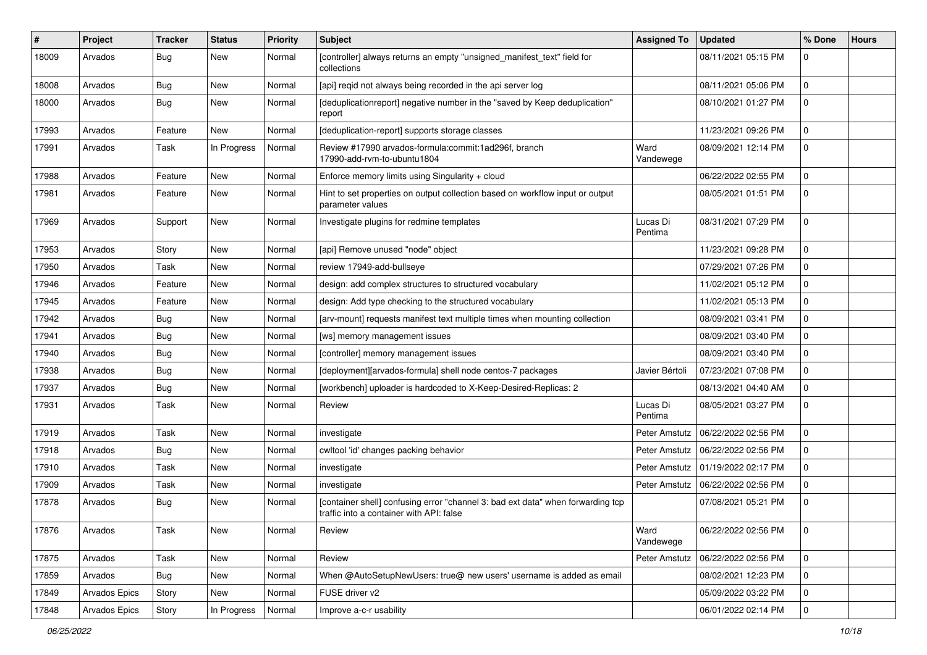| ∦     | Project       | <b>Tracker</b> | <b>Status</b> | <b>Priority</b> | <b>Subject</b>                                                                                                              | <b>Assigned To</b>  | <b>Updated</b>      | % Done      | <b>Hours</b> |
|-------|---------------|----------------|---------------|-----------------|-----------------------------------------------------------------------------------------------------------------------------|---------------------|---------------------|-------------|--------------|
| 18009 | Arvados       | Bug            | New           | Normal          | [controller] always returns an empty "unsigned_manifest_text" field for<br>collections                                      |                     | 08/11/2021 05:15 PM | 0           |              |
| 18008 | Arvados       | Bug            | New           | Normal          | [api] regid not always being recorded in the api server log                                                                 |                     | 08/11/2021 05:06 PM | $\mathbf 0$ |              |
| 18000 | Arvados       | Bug            | New           | Normal          | [deduplicationreport] negative number in the "saved by Keep deduplication"<br>report                                        |                     | 08/10/2021 01:27 PM | 0           |              |
| 17993 | Arvados       | Feature        | New           | Normal          | [deduplication-report] supports storage classes                                                                             |                     | 11/23/2021 09:26 PM | 0           |              |
| 17991 | Arvados       | Task           | In Progress   | Normal          | Review #17990 arvados-formula:commit:1ad296f, branch<br>17990-add-rvm-to-ubuntu1804                                         | Ward<br>Vandewege   | 08/09/2021 12:14 PM | 0           |              |
| 17988 | Arvados       | Feature        | New           | Normal          | Enforce memory limits using Singularity + cloud                                                                             |                     | 06/22/2022 02:55 PM | 0           |              |
| 17981 | Arvados       | Feature        | New           | Normal          | Hint to set properties on output collection based on workflow input or output<br>parameter values                           |                     | 08/05/2021 01:51 PM | 0           |              |
| 17969 | Arvados       | Support        | New           | Normal          | Investigate plugins for redmine templates                                                                                   | Lucas Di<br>Pentima | 08/31/2021 07:29 PM | $\Omega$    |              |
| 17953 | Arvados       | Story          | <b>New</b>    | Normal          | [api] Remove unused "node" object                                                                                           |                     | 11/23/2021 09:28 PM | $\mathbf 0$ |              |
| 17950 | Arvados       | Task           | New           | Normal          | review 17949-add-bullseye                                                                                                   |                     | 07/29/2021 07:26 PM | 0           |              |
| 17946 | Arvados       | Feature        | <b>New</b>    | Normal          | design: add complex structures to structured vocabulary                                                                     |                     | 11/02/2021 05:12 PM | 0           |              |
| 17945 | Arvados       | Feature        | New           | Normal          | design: Add type checking to the structured vocabulary                                                                      |                     | 11/02/2021 05:13 PM | 0           |              |
| 17942 | Arvados       | Bug            | New           | Normal          | [arv-mount] requests manifest text multiple times when mounting collection                                                  |                     | 08/09/2021 03:41 PM | 0           |              |
| 17941 | Arvados       | Bug            | New           | Normal          | [ws] memory management issues                                                                                               |                     | 08/09/2021 03:40 PM | 0           |              |
| 17940 | Arvados       | Bug            | New           | Normal          | [controller] memory management issues                                                                                       |                     | 08/09/2021 03:40 PM | 0           |              |
| 17938 | Arvados       | Bug            | <b>New</b>    | Normal          | [deployment][arvados-formula] shell node centos-7 packages                                                                  | Javier Bértoli      | 07/23/2021 07:08 PM | 0           |              |
| 17937 | Arvados       | Bug            | New           | Normal          | [workbench] uploader is hardcoded to X-Keep-Desired-Replicas: 2                                                             |                     | 08/13/2021 04:40 AM | 0           |              |
| 17931 | Arvados       | Task           | New           | Normal          | Review                                                                                                                      | Lucas Di<br>Pentima | 08/05/2021 03:27 PM | 0           |              |
| 17919 | Arvados       | Task           | <b>New</b>    | Normal          | investigate                                                                                                                 | Peter Amstutz       | 06/22/2022 02:56 PM | 0           |              |
| 17918 | Arvados       | Bug            | New           | Normal          | cwltool 'id' changes packing behavior                                                                                       | Peter Amstutz       | 06/22/2022 02:56 PM | 0           |              |
| 17910 | Arvados       | Task           | New           | Normal          | investigate                                                                                                                 | Peter Amstutz       | 01/19/2022 02:17 PM | 0           |              |
| 17909 | Arvados       | Task           | New           | Normal          | investigate                                                                                                                 | Peter Amstutz       | 06/22/2022 02:56 PM | 0           |              |
| 17878 | Arvados       | Bug            | New           | Normal          | [container shell] confusing error "channel 3: bad ext data" when forwarding tcp<br>traffic into a container with API: false |                     | 07/08/2021 05:21 PM | 0           |              |
| 17876 | Arvados       | Task           | New           | Normal          | Review                                                                                                                      | Ward<br>Vandewege   | 06/22/2022 02:56 PM | l 0         |              |
| 17875 | Arvados       | Task           | New           | Normal          | Review                                                                                                                      | Peter Amstutz       | 06/22/2022 02:56 PM | $\mathbf 0$ |              |
| 17859 | Arvados       | Bug            | New           | Normal          | When @AutoSetupNewUsers: true@ new users' username is added as email                                                        |                     | 08/02/2021 12:23 PM | 0           |              |
| 17849 | Arvados Epics | Story          | New           | Normal          | FUSE driver v2                                                                                                              |                     | 05/09/2022 03:22 PM | $\mathbf 0$ |              |
| 17848 | Arvados Epics | Story          | In Progress   | Normal          | Improve a-c-r usability                                                                                                     |                     | 06/01/2022 02:14 PM | 0           |              |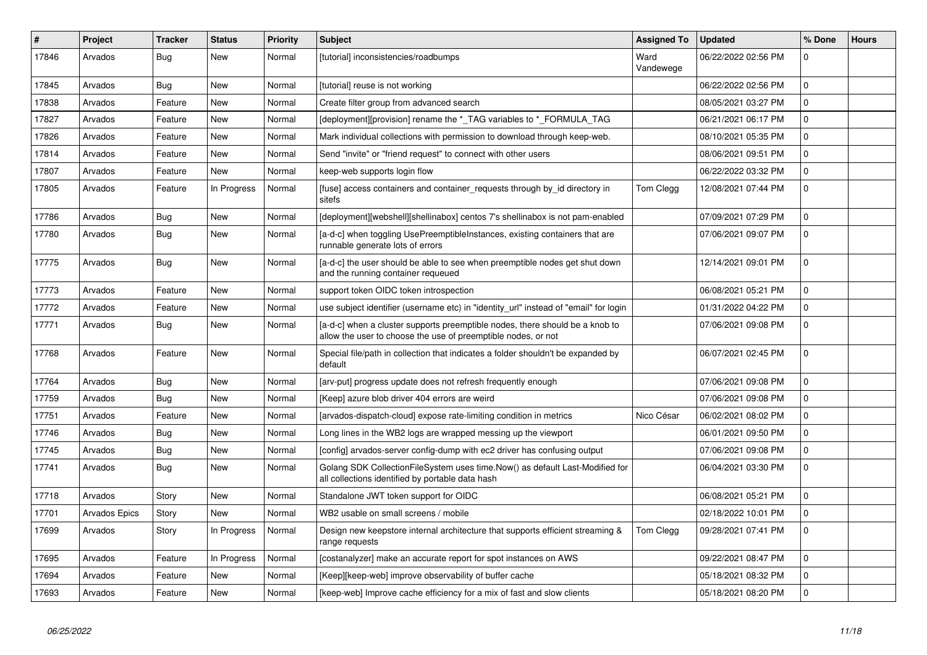| #     | Project              | <b>Tracker</b> | <b>Status</b> | <b>Priority</b> | <b>Subject</b>                                                                                                                                | <b>Assigned To</b> | <b>Updated</b>      | % Done         | <b>Hours</b> |
|-------|----------------------|----------------|---------------|-----------------|-----------------------------------------------------------------------------------------------------------------------------------------------|--------------------|---------------------|----------------|--------------|
| 17846 | Arvados              | Bug            | <b>New</b>    | Normal          | [tutorial] inconsistencies/roadbumps                                                                                                          | Ward<br>Vandewege  | 06/22/2022 02:56 PM | 0              |              |
| 17845 | Arvados              | Bug            | New           | Normal          | [tutorial] reuse is not working                                                                                                               |                    | 06/22/2022 02:56 PM | 0              |              |
| 17838 | Arvados              | Feature        | New           | Normal          | Create filter group from advanced search                                                                                                      |                    | 08/05/2021 03:27 PM | 0              |              |
| 17827 | Arvados              | Feature        | New           | Normal          | [deployment][provision] rename the *_TAG variables to *_FORMULA_TAG                                                                           |                    | 06/21/2021 06:17 PM | 0              |              |
| 17826 | Arvados              | Feature        | New           | Normal          | Mark individual collections with permission to download through keep-web.                                                                     |                    | 08/10/2021 05:35 PM | 0              |              |
| 17814 | Arvados              | Feature        | New           | Normal          | Send "invite" or "friend request" to connect with other users                                                                                 |                    | 08/06/2021 09:51 PM | 0              |              |
| 17807 | Arvados              | Feature        | New           | Normal          | keep-web supports login flow                                                                                                                  |                    | 06/22/2022 03:32 PM | 0              |              |
| 17805 | Arvados              | Feature        | In Progress   | Normal          | [fuse] access containers and container_requests through by_id directory in<br>sitefs                                                          | Tom Clegg          | 12/08/2021 07:44 PM | 0              |              |
| 17786 | Arvados              | Bug            | New           | Normal          | [deployment][webshell][shellinabox] centos 7's shellinabox is not pam-enabled                                                                 |                    | 07/09/2021 07:29 PM | $\overline{0}$ |              |
| 17780 | Arvados              | <b>Bug</b>     | New           | Normal          | [a-d-c] when toggling UsePreemptibleInstances, existing containers that are<br>runnable generate lots of errors                               |                    | 07/06/2021 09:07 PM | 0              |              |
| 17775 | Arvados              | <b>Bug</b>     | <b>New</b>    | Normal          | [a-d-c] the user should be able to see when preemptible nodes get shut down<br>and the running container requeued                             |                    | 12/14/2021 09:01 PM | 0              |              |
| 17773 | Arvados              | Feature        | <b>New</b>    | Normal          | support token OIDC token introspection                                                                                                        |                    | 06/08/2021 05:21 PM | 0              |              |
| 17772 | Arvados              | Feature        | <b>New</b>    | Normal          | use subject identifier (username etc) in "identity url" instead of "email" for login                                                          |                    | 01/31/2022 04:22 PM | $\mathbf{0}$   |              |
| 17771 | Arvados              | Bug            | <b>New</b>    | Normal          | [a-d-c] when a cluster supports preemptible nodes, there should be a knob to<br>allow the user to choose the use of preemptible nodes, or not |                    | 07/06/2021 09:08 PM | 0              |              |
| 17768 | Arvados              | Feature        | New           | Normal          | Special file/path in collection that indicates a folder shouldn't be expanded by<br>default                                                   |                    | 06/07/2021 02:45 PM | $\mathbf{0}$   |              |
| 17764 | Arvados              | <b>Bug</b>     | <b>New</b>    | Normal          | [arv-put] progress update does not refresh frequently enough                                                                                  |                    | 07/06/2021 09:08 PM | 0              |              |
| 17759 | Arvados              | <b>Bug</b>     | New           | Normal          | [Keep] azure blob driver 404 errors are weird                                                                                                 |                    | 07/06/2021 09:08 PM | 0              |              |
| 17751 | Arvados              | Feature        | <b>New</b>    | Normal          | [arvados-dispatch-cloud] expose rate-limiting condition in metrics                                                                            | Nico César         | 06/02/2021 08:02 PM | 0              |              |
| 17746 | Arvados              | <b>Bug</b>     | New           | Normal          | Long lines in the WB2 logs are wrapped messing up the viewport                                                                                |                    | 06/01/2021 09:50 PM | 0              |              |
| 17745 | Arvados              | <b>Bug</b>     | New           | Normal          | [config] arvados-server config-dump with ec2 driver has confusing output                                                                      |                    | 07/06/2021 09:08 PM | 0              |              |
| 17741 | Arvados              | <b>Bug</b>     | New           | Normal          | Golang SDK CollectionFileSystem uses time.Now() as default Last-Modified for<br>all collections identified by portable data hash              |                    | 06/04/2021 03:30 PM | $\mathbf{0}$   |              |
| 17718 | Arvados              | Story          | <b>New</b>    | Normal          | Standalone JWT token support for OIDC                                                                                                         |                    | 06/08/2021 05:21 PM | 0              |              |
| 17701 | <b>Arvados Epics</b> | Story          | <b>New</b>    | Normal          | WB2 usable on small screens / mobile                                                                                                          |                    | 02/18/2022 10:01 PM | 0              |              |
| 17699 | Arvados              | Story          | In Progress   | Normal          | Design new keepstore internal architecture that supports efficient streaming &<br>range requests                                              | Tom Clegg          | 09/28/2021 07:41 PM | 0              |              |
| 17695 | Arvados              | Feature        | In Progress   | Normal          | [costanalyzer] make an accurate report for spot instances on AWS                                                                              |                    | 09/22/2021 08:47 PM | 0              |              |
| 17694 | Arvados              | Feature        | New           | Normal          | [Keep][keep-web] improve observability of buffer cache                                                                                        |                    | 05/18/2021 08:32 PM | 0              |              |
| 17693 | Arvados              | Feature        | <b>New</b>    | Normal          | [keep-web] Improve cache efficiency for a mix of fast and slow clients                                                                        |                    | 05/18/2021 08:20 PM | $\Omega$       |              |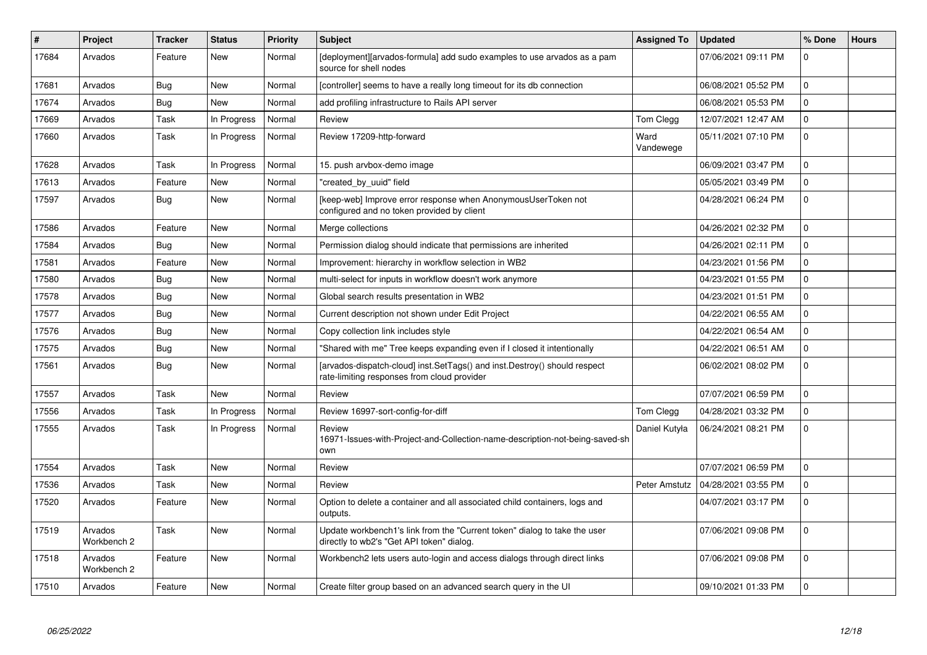| #     | Project                | <b>Tracker</b> | <b>Status</b> | <b>Priority</b> | <b>Subject</b>                                                                                                           | <b>Assigned To</b> | <b>Updated</b>      | % Done         | <b>Hours</b> |
|-------|------------------------|----------------|---------------|-----------------|--------------------------------------------------------------------------------------------------------------------------|--------------------|---------------------|----------------|--------------|
| 17684 | Arvados                | Feature        | <b>New</b>    | Normal          | [deployment][arvados-formula] add sudo examples to use arvados as a pam<br>source for shell nodes                        |                    | 07/06/2021 09:11 PM | $\Omega$       |              |
| 17681 | Arvados                | Bug            | New           | Normal          | [controller] seems to have a really long timeout for its db connection                                                   |                    | 06/08/2021 05:52 PM | 0              |              |
| 17674 | Arvados                | Bug            | <b>New</b>    | Normal          | add profiling infrastructure to Rails API server                                                                         |                    | 06/08/2021 05:53 PM | 0              |              |
| 17669 | Arvados                | Task           | In Progress   | Normal          | Review                                                                                                                   | Tom Clegg          | 12/07/2021 12:47 AM | 0              |              |
| 17660 | Arvados                | Task           | In Progress   | Normal          | Review 17209-http-forward                                                                                                | Ward<br>Vandewege  | 05/11/2021 07:10 PM | 0              |              |
| 17628 | Arvados                | Task           | In Progress   | Normal          | 15. push arvbox-demo image                                                                                               |                    | 06/09/2021 03:47 PM | 0              |              |
| 17613 | Arvados                | Feature        | <b>New</b>    | Normal          | "created_by_uuid" field                                                                                                  |                    | 05/05/2021 03:49 PM | 0              |              |
| 17597 | Arvados                | <b>Bug</b>     | New           | Normal          | [keep-web] Improve error response when AnonymousUserToken not<br>configured and no token provided by client              |                    | 04/28/2021 06:24 PM | 0              |              |
| 17586 | Arvados                | Feature        | <b>New</b>    | Normal          | Merge collections                                                                                                        |                    | 04/26/2021 02:32 PM | 0              |              |
| 17584 | Arvados                | Bug            | <b>New</b>    | Normal          | Permission dialog should indicate that permissions are inherited                                                         |                    | 04/26/2021 02:11 PM | 0              |              |
| 17581 | Arvados                | Feature        | New           | Normal          | Improvement: hierarchy in workflow selection in WB2                                                                      |                    | 04/23/2021 01:56 PM | 0              |              |
| 17580 | Arvados                | Bug            | New           | Normal          | multi-select for inputs in workflow doesn't work anymore                                                                 |                    | 04/23/2021 01:55 PM | $\Omega$       |              |
| 17578 | Arvados                | Bug            | New           | Normal          | Global search results presentation in WB2                                                                                |                    | 04/23/2021 01:51 PM | 0              |              |
| 17577 | Arvados                | <b>Bug</b>     | New           | Normal          | Current description not shown under Edit Project                                                                         |                    | 04/22/2021 06:55 AM | 0              |              |
| 17576 | Arvados                | Bug            | New           | Normal          | Copy collection link includes style                                                                                      |                    | 04/22/2021 06:54 AM | 0              |              |
| 17575 | Arvados                | <b>Bug</b>     | <b>New</b>    | Normal          | "Shared with me" Tree keeps expanding even if I closed it intentionally                                                  |                    | 04/22/2021 06:51 AM | 0              |              |
| 17561 | Arvados                | <b>Bug</b>     | <b>New</b>    | Normal          | [arvados-dispatch-cloud] inst.SetTags() and inst.Destroy() should respect<br>rate-limiting responses from cloud provider |                    | 06/02/2021 08:02 PM | 0              |              |
| 17557 | Arvados                | Task           | <b>New</b>    | Normal          | Review                                                                                                                   |                    | 07/07/2021 06:59 PM | 0              |              |
| 17556 | Arvados                | Task           | In Progress   | Normal          | Review 16997-sort-config-for-diff                                                                                        | Tom Clegg          | 04/28/2021 03:32 PM | 0              |              |
| 17555 | Arvados                | Task           | In Progress   | Normal          | Review<br>16971-Issues-with-Project-and-Collection-name-description-not-being-saved-sh<br>own                            | Daniel Kutyła      | 06/24/2021 08:21 PM | 0              |              |
| 17554 | Arvados                | Task           | <b>New</b>    | Normal          | Review                                                                                                                   |                    | 07/07/2021 06:59 PM | $\Omega$       |              |
| 17536 | Arvados                | Task           | <b>New</b>    | Normal          | Review                                                                                                                   | Peter Amstutz      | 04/28/2021 03:55 PM | $\overline{0}$ |              |
| 17520 | Arvados                | Feature        | New           | Normal          | Option to delete a container and all associated child containers, logs and<br>outputs.                                   |                    | 04/07/2021 03:17 PM | 0              |              |
| 17519 | Arvados<br>Workbench 2 | Task           | <b>New</b>    | Normal          | Update workbench1's link from the "Current token" dialog to take the user<br>directly to wb2's "Get API token" dialog.   |                    | 07/06/2021 09:08 PM | $\overline{0}$ |              |
| 17518 | Arvados<br>Workbench 2 | Feature        | New           | Normal          | Workbench2 lets users auto-login and access dialogs through direct links                                                 |                    | 07/06/2021 09:08 PM | $\Omega$       |              |
| 17510 | Arvados                | Feature        | <b>New</b>    | Normal          | Create filter group based on an advanced search query in the UI                                                          |                    | 09/10/2021 01:33 PM | 0              |              |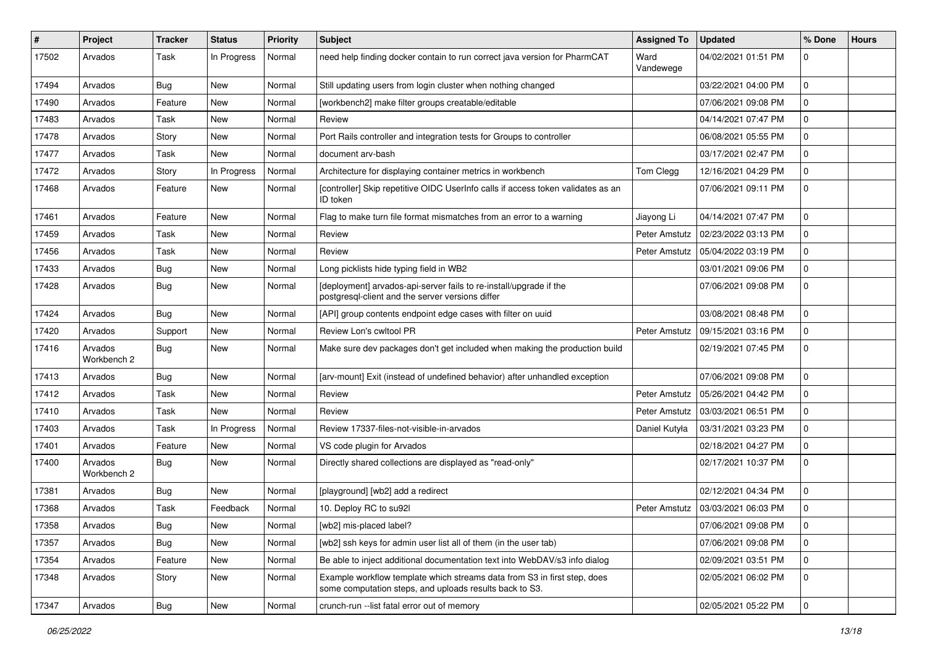| #     | Project                | <b>Tracker</b> | <b>Status</b> | Priority | <b>Subject</b>                                                                                                                      | <b>Assigned To</b> | <b>Updated</b>      | % Done       | <b>Hours</b> |
|-------|------------------------|----------------|---------------|----------|-------------------------------------------------------------------------------------------------------------------------------------|--------------------|---------------------|--------------|--------------|
| 17502 | Arvados                | Task           | In Progress   | Normal   | need help finding docker contain to run correct java version for PharmCAT                                                           | Ward<br>Vandewege  | 04/02/2021 01:51 PM | 0            |              |
| 17494 | Arvados                | Bug            | New           | Normal   | Still updating users from login cluster when nothing changed                                                                        |                    | 03/22/2021 04:00 PM | $\mathbf 0$  |              |
| 17490 | Arvados                | Feature        | New           | Normal   | [workbench2] make filter groups creatable/editable                                                                                  |                    | 07/06/2021 09:08 PM | 0            |              |
| 17483 | Arvados                | Task           | New           | Normal   | Review                                                                                                                              |                    | 04/14/2021 07:47 PM | 0            |              |
| 17478 | Arvados                | Story          | New           | Normal   | Port Rails controller and integration tests for Groups to controller                                                                |                    | 06/08/2021 05:55 PM | $\mathbf{0}$ |              |
| 17477 | Arvados                | Task           | New           | Normal   | document arv-bash                                                                                                                   |                    | 03/17/2021 02:47 PM | $\Omega$     |              |
| 17472 | Arvados                | Story          | In Progress   | Normal   | Architecture for displaying container metrics in workbench                                                                          | Tom Clegg          | 12/16/2021 04:29 PM | $\mathbf{0}$ |              |
| 17468 | Arvados                | Feature        | New           | Normal   | [controller] Skip repetitive OIDC UserInfo calls if access token validates as an<br>ID token                                        |                    | 07/06/2021 09:11 PM | $\Omega$     |              |
| 17461 | Arvados                | Feature        | New           | Normal   | Flag to make turn file format mismatches from an error to a warning                                                                 | Jiayong Li         | 04/14/2021 07:47 PM | $\mathbf 0$  |              |
| 17459 | Arvados                | Task           | New           | Normal   | Review                                                                                                                              | Peter Amstutz      | 02/23/2022 03:13 PM | 0            |              |
| 17456 | Arvados                | Task           | New           | Normal   | Review                                                                                                                              | Peter Amstutz      | 05/04/2022 03:19 PM | $\Omega$     |              |
| 17433 | Arvados                | Bug            | New           | Normal   | Long picklists hide typing field in WB2                                                                                             |                    | 03/01/2021 09:06 PM | 0            |              |
| 17428 | Arvados                | Bug            | New           | Normal   | [deployment] arvados-api-server fails to re-install/upgrade if the<br>postgresql-client and the server versions differ              |                    | 07/06/2021 09:08 PM | $\Omega$     |              |
| 17424 | Arvados                | Bug            | <b>New</b>    | Normal   | [API] group contents endpoint edge cases with filter on uuid                                                                        |                    | 03/08/2021 08:48 PM | $\Omega$     |              |
| 17420 | Arvados                | Support        | New           | Normal   | Review Lon's cwltool PR                                                                                                             | Peter Amstutz      | 09/15/2021 03:16 PM | 0            |              |
| 17416 | Arvados<br>Workbench 2 | Bug            | New           | Normal   | Make sure dev packages don't get included when making the production build                                                          |                    | 02/19/2021 07:45 PM | $\Omega$     |              |
| 17413 | Arvados                | Bug            | <b>New</b>    | Normal   | [arv-mount] Exit (instead of undefined behavior) after unhandled exception                                                          |                    | 07/06/2021 09:08 PM | $\mathbf{0}$ |              |
| 17412 | Arvados                | Task           | New           | Normal   | Review                                                                                                                              | Peter Amstutz      | 05/26/2021 04:42 PM | 0            |              |
| 17410 | Arvados                | Task           | New           | Normal   | Review                                                                                                                              | Peter Amstutz      | 03/03/2021 06:51 PM | 0            |              |
| 17403 | Arvados                | Task           | In Progress   | Normal   | Review 17337-files-not-visible-in-arvados                                                                                           | Daniel Kutyła      | 03/31/2021 03:23 PM | $\mathbf{0}$ |              |
| 17401 | Arvados                | Feature        | New           | Normal   | VS code plugin for Arvados                                                                                                          |                    | 02/18/2021 04:27 PM | 0            |              |
| 17400 | Arvados<br>Workbench 2 | Bug            | New           | Normal   | Directly shared collections are displayed as "read-only"                                                                            |                    | 02/17/2021 10:37 PM | $\mathbf{0}$ |              |
| 17381 | Arvados                | Bug            | New           | Normal   | [playground] [wb2] add a redirect                                                                                                   |                    | 02/12/2021 04:34 PM | 0            |              |
| 17368 | Arvados                | Task           | Feedback      | Normal   | 10. Deploy RC to su92l                                                                                                              | Peter Amstutz      | 03/03/2021 06:03 PM | $\mathbf{0}$ |              |
| 17358 | Arvados                | Bug            | New           | Normal   | [wb2] mis-placed label?                                                                                                             |                    | 07/06/2021 09:08 PM | $\bf{0}$     |              |
| 17357 | Arvados                | Bug            | New           | Normal   | [wb2] ssh keys for admin user list all of them (in the user tab)                                                                    |                    | 07/06/2021 09:08 PM | $\mathbf 0$  |              |
| 17354 | Arvados                | Feature        | New           | Normal   | Be able to inject additional documentation text into WebDAV/s3 info dialog                                                          |                    | 02/09/2021 03:51 PM | $\mathbf 0$  |              |
| 17348 | Arvados                | Story          | New           | Normal   | Example workflow template which streams data from S3 in first step, does<br>some computation steps, and uploads results back to S3. |                    | 02/05/2021 06:02 PM | $\mathbf 0$  |              |
| 17347 | Arvados                | <b>Bug</b>     | New           | Normal   | crunch-run --list fatal error out of memory                                                                                         |                    | 02/05/2021 05:22 PM | $\mathbf 0$  |              |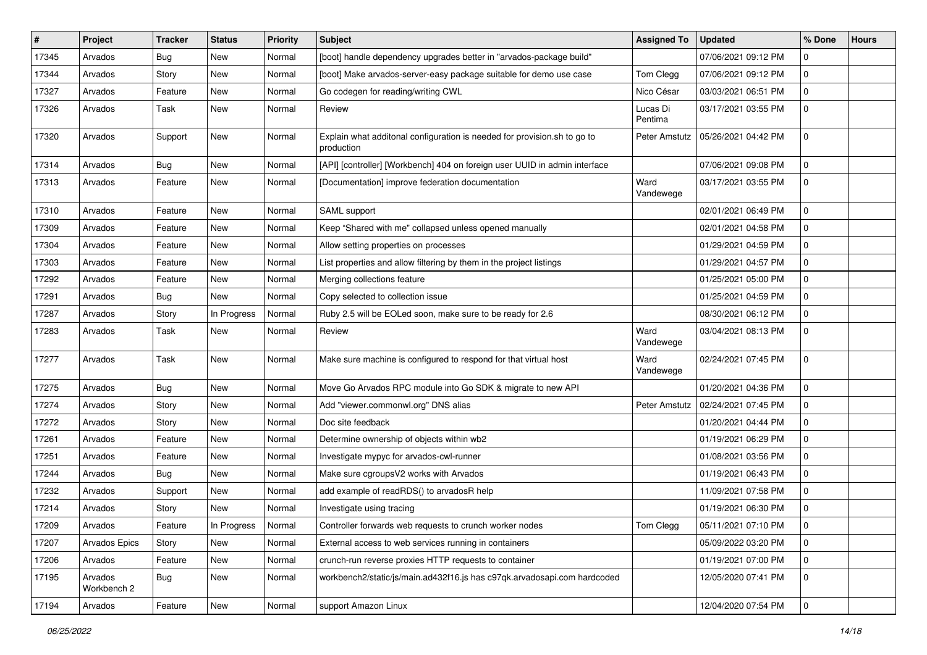| #     | Project                | <b>Tracker</b> | <b>Status</b> | <b>Priority</b> | <b>Subject</b>                                                                         | <b>Assigned To</b>  | <b>Updated</b>      | % Done      | <b>Hours</b> |
|-------|------------------------|----------------|---------------|-----------------|----------------------------------------------------------------------------------------|---------------------|---------------------|-------------|--------------|
| 17345 | Arvados                | Bug            | New           | Normal          | [boot] handle dependency upgrades better in "arvados-package build"                    |                     | 07/06/2021 09:12 PM | 0           |              |
| 17344 | Arvados                | Story          | New           | Normal          | [boot] Make arvados-server-easy package suitable for demo use case                     | Tom Clegg           | 07/06/2021 09:12 PM | 0           |              |
| 17327 | Arvados                | Feature        | New           | Normal          | Go codegen for reading/writing CWL                                                     | Nico César          | 03/03/2021 06:51 PM | 0           |              |
| 17326 | Arvados                | Task           | New           | Normal          | Review                                                                                 | Lucas Di<br>Pentima | 03/17/2021 03:55 PM | $\mathbf 0$ |              |
| 17320 | Arvados                | Support        | New           | Normal          | Explain what additonal configuration is needed for provision.sh to go to<br>production | Peter Amstutz       | 05/26/2021 04:42 PM | $\mathbf 0$ |              |
| 17314 | Arvados                | Bug            | New           | Normal          | [API] [controller] [Workbench] 404 on foreign user UUID in admin interface             |                     | 07/06/2021 09:08 PM | $\mathbf 0$ |              |
| 17313 | Arvados                | Feature        | New           | Normal          | [Documentation] improve federation documentation                                       | Ward<br>Vandewege   | 03/17/2021 03:55 PM | 0           |              |
| 17310 | Arvados                | Feature        | New           | Normal          | SAML support                                                                           |                     | 02/01/2021 06:49 PM | $\mathbf 0$ |              |
| 17309 | Arvados                | Feature        | New           | Normal          | Keep "Shared with me" collapsed unless opened manually                                 |                     | 02/01/2021 04:58 PM | 0           |              |
| 17304 | Arvados                | Feature        | New           | Normal          | Allow setting properties on processes                                                  |                     | 01/29/2021 04:59 PM | 0           |              |
| 17303 | Arvados                | Feature        | New           | Normal          | List properties and allow filtering by them in the project listings                    |                     | 01/29/2021 04:57 PM | 0           |              |
| 17292 | Arvados                | Feature        | New           | Normal          | Merging collections feature                                                            |                     | 01/25/2021 05:00 PM | $\mathbf 0$ |              |
| 17291 | Arvados                | <b>Bug</b>     | New           | Normal          | Copy selected to collection issue                                                      |                     | 01/25/2021 04:59 PM | 0           |              |
| 17287 | Arvados                | Story          | In Progress   | Normal          | Ruby 2.5 will be EOLed soon, make sure to be ready for 2.6                             |                     | 08/30/2021 06:12 PM | 0           |              |
| 17283 | Arvados                | Task           | New           | Normal          | Review                                                                                 | Ward<br>Vandewege   | 03/04/2021 08:13 PM | $\mathbf 0$ |              |
| 17277 | Arvados                | Task           | New           | Normal          | Make sure machine is configured to respond for that virtual host                       | Ward<br>Vandewege   | 02/24/2021 07:45 PM | 0           |              |
| 17275 | Arvados                | Bug            | New           | Normal          | Move Go Arvados RPC module into Go SDK & migrate to new API                            |                     | 01/20/2021 04:36 PM | $\mathbf 0$ |              |
| 17274 | Arvados                | Story          | New           | Normal          | Add "viewer.commonwl.org" DNS alias                                                    | Peter Amstutz       | 02/24/2021 07:45 PM | 0           |              |
| 17272 | Arvados                | Story          | New           | Normal          | Doc site feedback                                                                      |                     | 01/20/2021 04:44 PM | 0           |              |
| 17261 | Arvados                | Feature        | New           | Normal          | Determine ownership of objects within wb2                                              |                     | 01/19/2021 06:29 PM | 0           |              |
| 17251 | Arvados                | Feature        | New           | Normal          | Investigate mypyc for arvados-cwl-runner                                               |                     | 01/08/2021 03:56 PM | 0           |              |
| 17244 | Arvados                | Bug            | New           | Normal          | Make sure cgroupsV2 works with Arvados                                                 |                     | 01/19/2021 06:43 PM | 0           |              |
| 17232 | Arvados                | Support        | New           | Normal          | add example of readRDS() to arvadosR help                                              |                     | 11/09/2021 07:58 PM | $\mathbf 0$ |              |
| 17214 | Arvados                | Story          | New           | Normal          | Investigate using tracing                                                              |                     | 01/19/2021 06:30 PM | $\mathbf 0$ |              |
| 17209 | Arvados                | Feature        | In Progress   | Normal          | Controller forwards web requests to crunch worker nodes                                | Tom Clegg           | 05/11/2021 07:10 PM | 0           |              |
| 17207 | Arvados Epics          | Story          | New           | Normal          | External access to web services running in containers                                  |                     | 05/09/2022 03:20 PM | $\mathbf 0$ |              |
| 17206 | Arvados                | Feature        | New           | Normal          | crunch-run reverse proxies HTTP requests to container                                  |                     | 01/19/2021 07:00 PM | $\mathbf 0$ |              |
| 17195 | Arvados<br>Workbench 2 | <b>Bug</b>     | New           | Normal          | workbench2/static/js/main.ad432f16.js has c97qk.arvadosapi.com hardcoded               |                     | 12/05/2020 07:41 PM | $\mathbf 0$ |              |
| 17194 | Arvados                | Feature        | New           | Normal          | support Amazon Linux                                                                   |                     | 12/04/2020 07:54 PM | $\mathbf 0$ |              |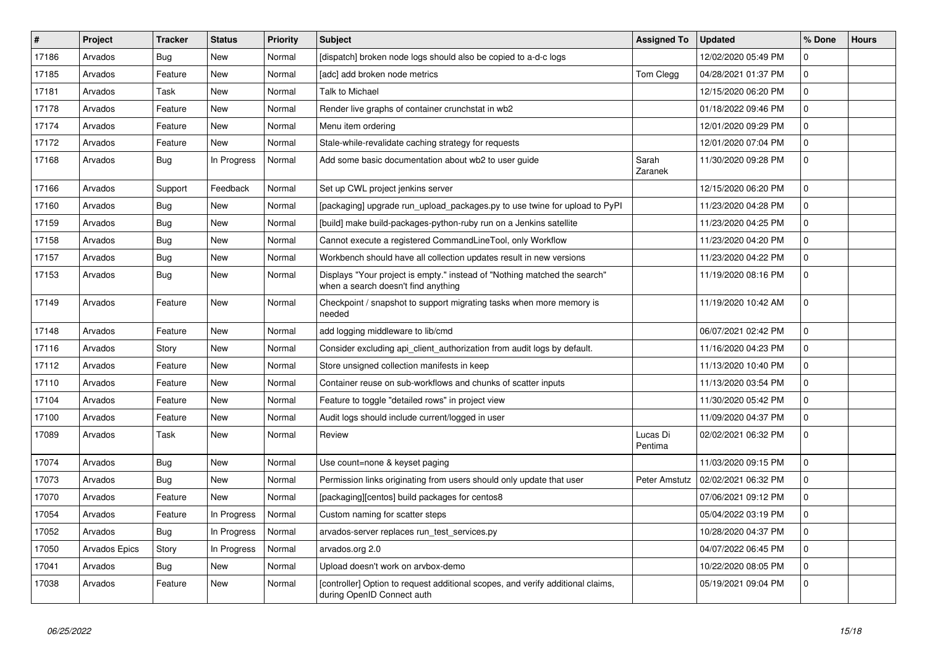| $\sharp$ | Project       | <b>Tracker</b> | <b>Status</b> | Priority | <b>Subject</b>                                                                                                   | <b>Assigned To</b>  | <b>Updated</b>      | % Done         | <b>Hours</b> |
|----------|---------------|----------------|---------------|----------|------------------------------------------------------------------------------------------------------------------|---------------------|---------------------|----------------|--------------|
| 17186    | Arvados       | Bug            | <b>New</b>    | Normal   | [dispatch] broken node logs should also be copied to a-d-c logs                                                  |                     | 12/02/2020 05:49 PM | 0              |              |
| 17185    | Arvados       | Feature        | <b>New</b>    | Normal   | [adc] add broken node metrics                                                                                    | Tom Clegg           | 04/28/2021 01:37 PM | 0              |              |
| 17181    | Arvados       | Task           | <b>New</b>    | Normal   | Talk to Michael                                                                                                  |                     | 12/15/2020 06:20 PM | $\overline{0}$ |              |
| 17178    | Arvados       | Feature        | <b>New</b>    | Normal   | Render live graphs of container crunchstat in wb2                                                                |                     | 01/18/2022 09:46 PM | 0              |              |
| 17174    | Arvados       | Feature        | <b>New</b>    | Normal   | Menu item ordering                                                                                               |                     | 12/01/2020 09:29 PM | $\overline{0}$ |              |
| 17172    | Arvados       | Feature        | <b>New</b>    | Normal   | Stale-while-revalidate caching strategy for requests                                                             |                     | 12/01/2020 07:04 PM | 0              |              |
| 17168    | Arvados       | <b>Bug</b>     | In Progress   | Normal   | Add some basic documentation about wb2 to user guide                                                             | Sarah<br>Zaranek    | 11/30/2020 09:28 PM | $\overline{0}$ |              |
| 17166    | Arvados       | Support        | Feedback      | Normal   | Set up CWL project jenkins server                                                                                |                     | 12/15/2020 06:20 PM | $\mathbf 0$    |              |
| 17160    | Arvados       | Bug            | <b>New</b>    | Normal   | [packaging] upgrade run upload packages.py to use twine for upload to PyPI                                       |                     | 11/23/2020 04:28 PM | $\overline{0}$ |              |
| 17159    | Arvados       | Bug            | <b>New</b>    | Normal   | [build] make build-packages-python-ruby run on a Jenkins satellite                                               |                     | 11/23/2020 04:25 PM | $\mathbf 0$    |              |
| 17158    | Arvados       | Bug            | <b>New</b>    | Normal   | Cannot execute a registered CommandLineTool, only Workflow                                                       |                     | 11/23/2020 04:20 PM | 0              |              |
| 17157    | Arvados       | <b>Bug</b>     | <b>New</b>    | Normal   | Workbench should have all collection updates result in new versions                                              |                     | 11/23/2020 04:22 PM | 0              |              |
| 17153    | Arvados       | Bug            | <b>New</b>    | Normal   | Displays "Your project is empty." instead of "Nothing matched the search"<br>when a search doesn't find anything |                     | 11/19/2020 08:16 PM | 0              |              |
| 17149    | Arvados       | Feature        | <b>New</b>    | Normal   | Checkpoint / snapshot to support migrating tasks when more memory is<br>needed                                   |                     | 11/19/2020 10:42 AM | $\Omega$       |              |
| 17148    | Arvados       | Feature        | <b>New</b>    | Normal   | add logging middleware to lib/cmd                                                                                |                     | 06/07/2021 02:42 PM | $\mathbf 0$    |              |
| 17116    | Arvados       | Story          | <b>New</b>    | Normal   | Consider excluding api_client_authorization from audit logs by default.                                          |                     | 11/16/2020 04:23 PM | $\overline{0}$ |              |
| 17112    | Arvados       | Feature        | New           | Normal   | Store unsigned collection manifests in keep                                                                      |                     | 11/13/2020 10:40 PM | 0              |              |
| 17110    | Arvados       | Feature        | <b>New</b>    | Normal   | Container reuse on sub-workflows and chunks of scatter inputs                                                    |                     | 11/13/2020 03:54 PM | 0              |              |
| 17104    | Arvados       | Feature        | <b>New</b>    | Normal   | Feature to toggle "detailed rows" in project view                                                                |                     | 11/30/2020 05:42 PM | 0              |              |
| 17100    | Arvados       | Feature        | <b>New</b>    | Normal   | Audit logs should include current/logged in user                                                                 |                     | 11/09/2020 04:37 PM | $\overline{0}$ |              |
| 17089    | Arvados       | Task           | <b>New</b>    | Normal   | Review                                                                                                           | Lucas Di<br>Pentima | 02/02/2021 06:32 PM | $\Omega$       |              |
| 17074    | Arvados       | <b>Bug</b>     | <b>New</b>    | Normal   | Use count=none & keyset paging                                                                                   |                     | 11/03/2020 09:15 PM | 0              |              |
| 17073    | Arvados       | <b>Bug</b>     | New           | Normal   | Permission links originating from users should only update that user                                             | Peter Amstutz       | 02/02/2021 06:32 PM | 0              |              |
| 17070    | Arvados       | Feature        | <b>New</b>    | Normal   | [packaging][centos] build packages for centos8                                                                   |                     | 07/06/2021 09:12 PM | $\mathbf 0$    |              |
| 17054    | Arvados       | Feature        | In Progress   | Normal   | Custom naming for scatter steps                                                                                  |                     | 05/04/2022 03:19 PM | $\mathbf 0$    |              |
| 17052    | Arvados       | Bug            | In Progress   | Normal   | arvados-server replaces run test services.py                                                                     |                     | 10/28/2020 04:37 PM | 0              |              |
| 17050    | Arvados Epics | Story          | In Progress   | Normal   | arvados.org 2.0                                                                                                  |                     | 04/07/2022 06:45 PM | 0              |              |
| 17041    | Arvados       | <b>Bug</b>     | <b>New</b>    | Normal   | Upload doesn't work on arvbox-demo                                                                               |                     | 10/22/2020 08:05 PM | 0              |              |
| 17038    | Arvados       | Feature        | <b>New</b>    | Normal   | [controller] Option to request additional scopes, and verify additional claims,<br>during OpenID Connect auth    |                     | 05/19/2021 09:04 PM | 0              |              |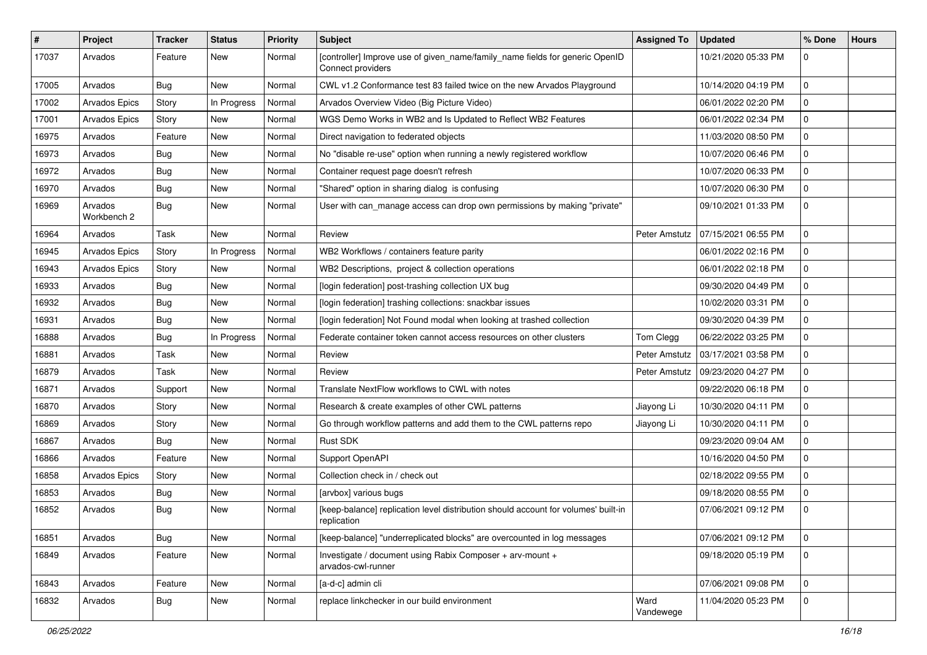| $\vert$ # | Project                | <b>Tracker</b> | <b>Status</b> | <b>Priority</b> | Subject                                                                                           | <b>Assigned To</b> | <b>Updated</b>      | % Done       | <b>Hours</b> |
|-----------|------------------------|----------------|---------------|-----------------|---------------------------------------------------------------------------------------------------|--------------------|---------------------|--------------|--------------|
| 17037     | Arvados                | Feature        | New           | Normal          | [controller] Improve use of given_name/family_name fields for generic OpenID<br>Connect providers |                    | 10/21/2020 05:33 PM | 0            |              |
| 17005     | Arvados                | Bug            | <b>New</b>    | Normal          | CWL v1.2 Conformance test 83 failed twice on the new Arvados Playground                           |                    | 10/14/2020 04:19 PM | 0            |              |
| 17002     | <b>Arvados Epics</b>   | Story          | In Progress   | Normal          | Arvados Overview Video (Big Picture Video)                                                        |                    | 06/01/2022 02:20 PM | 0            |              |
| 17001     | Arvados Epics          | Story          | <b>New</b>    | Normal          | WGS Demo Works in WB2 and Is Updated to Reflect WB2 Features                                      |                    | 06/01/2022 02:34 PM | 0            |              |
| 16975     | Arvados                | Feature        | New           | Normal          | Direct navigation to federated objects                                                            |                    | 11/03/2020 08:50 PM | 0            |              |
| 16973     | Arvados                | Bug            | New           | Normal          | No "disable re-use" option when running a newly registered workflow                               |                    | 10/07/2020 06:46 PM | 0            |              |
| 16972     | Arvados                | Bug            | New           | Normal          | Container request page doesn't refresh                                                            |                    | 10/07/2020 06:33 PM | 0            |              |
| 16970     | Arvados                | Bug            | New           | Normal          | "Shared" option in sharing dialog is confusing                                                    |                    | 10/07/2020 06:30 PM | 0            |              |
| 16969     | Arvados<br>Workbench 2 | Bug            | New           | Normal          | User with can_manage access can drop own permissions by making "private"                          |                    | 09/10/2021 01:33 PM | 0            |              |
| 16964     | Arvados                | Task           | New           | Normal          | Review                                                                                            | Peter Amstutz      | 07/15/2021 06:55 PM | 0            |              |
| 16945     | Arvados Epics          | Story          | In Progress   | Normal          | WB2 Workflows / containers feature parity                                                         |                    | 06/01/2022 02:16 PM | 0            |              |
| 16943     | <b>Arvados Epics</b>   | Story          | New           | Normal          | WB2 Descriptions, project & collection operations                                                 |                    | 06/01/2022 02:18 PM | 0            |              |
| 16933     | Arvados                | Bug            | New           | Normal          | [login federation] post-trashing collection UX bug                                                |                    | 09/30/2020 04:49 PM | 0            |              |
| 16932     | Arvados                | Bug            | New           | Normal          | [login federation] trashing collections: snackbar issues                                          |                    | 10/02/2020 03:31 PM | 0            |              |
| 16931     | Arvados                | Bug            | New           | Normal          | [login federation] Not Found modal when looking at trashed collection                             |                    | 09/30/2020 04:39 PM | 0            |              |
| 16888     | Arvados                | Bug            | In Progress   | Normal          | Federate container token cannot access resources on other clusters                                | Tom Clegg          | 06/22/2022 03:25 PM | 0            |              |
| 16881     | Arvados                | Task           | New           | Normal          | Review                                                                                            | Peter Amstutz      | 03/17/2021 03:58 PM | 0            |              |
| 16879     | Arvados                | Task           | <b>New</b>    | Normal          | Review                                                                                            | Peter Amstutz      | 09/23/2020 04:27 PM | 0            |              |
| 16871     | Arvados                | Support        | New           | Normal          | Translate NextFlow workflows to CWL with notes                                                    |                    | 09/22/2020 06:18 PM | 0            |              |
| 16870     | Arvados                | Story          | New           | Normal          | Research & create examples of other CWL patterns                                                  | Jiayong Li         | 10/30/2020 04:11 PM | 0            |              |
| 16869     | Arvados                | Story          | <b>New</b>    | Normal          | Go through workflow patterns and add them to the CWL patterns repo                                | Jiayong Li         | 10/30/2020 04:11 PM | 0            |              |
| 16867     | Arvados                | Bug            | New           | Normal          | <b>Rust SDK</b>                                                                                   |                    | 09/23/2020 09:04 AM | 0            |              |
| 16866     | Arvados                | Feature        | New           | Normal          | Support OpenAPI                                                                                   |                    | 10/16/2020 04:50 PM | 0            |              |
| 16858     | Arvados Epics          | Story          | <b>New</b>    | Normal          | Collection check in / check out                                                                   |                    | 02/18/2022 09:55 PM | 0            |              |
| 16853     | Arvados                | Bug            | New           | Normal          | [arvbox] various bugs                                                                             |                    | 09/18/2020 08:55 PM | 0            |              |
| 16852     | Arvados                | Bug            | New           | Normal          | [keep-balance] replication level distribution should account for volumes' built-in<br>replication |                    | 07/06/2021 09:12 PM | 0            |              |
| 16851     | Arvados                | <b>Bug</b>     | New           | Normal          | [keep-balance] "underreplicated blocks" are overcounted in log messages                           |                    | 07/06/2021 09:12 PM | $\mathbf{0}$ |              |
| 16849     | Arvados                | Feature        | New           | Normal          | Investigate / document using Rabix Composer + arv-mount +<br>arvados-cwl-runner                   |                    | 09/18/2020 05:19 PM | $\mathbf 0$  |              |
| 16843     | Arvados                | Feature        | New           | Normal          | [a-d-c] admin cli                                                                                 |                    | 07/06/2021 09:08 PM | 0            |              |
| 16832     | Arvados                | <b>Bug</b>     | New           | Normal          | replace linkchecker in our build environment                                                      | Ward<br>Vandewege  | 11/04/2020 05:23 PM | 0            |              |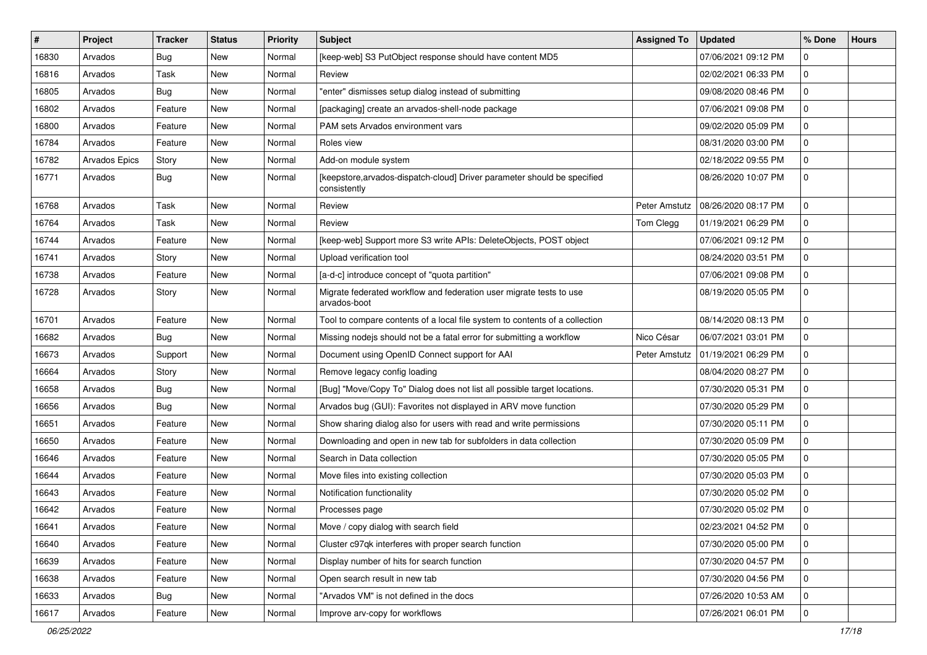| $\vert$ # | Project       | <b>Tracker</b> | <b>Status</b> | <b>Priority</b> | <b>Subject</b>                                                                           | <b>Assigned To</b> | <b>Updated</b>      | % Done       | <b>Hours</b> |
|-----------|---------------|----------------|---------------|-----------------|------------------------------------------------------------------------------------------|--------------------|---------------------|--------------|--------------|
| 16830     | Arvados       | <b>Bug</b>     | New           | Normal          | [keep-web] S3 PutObject response should have content MD5                                 |                    | 07/06/2021 09:12 PM | 0            |              |
| 16816     | Arvados       | Task           | New           | Normal          | Review                                                                                   |                    | 02/02/2021 06:33 PM | 0            |              |
| 16805     | Arvados       | Bug            | New           | Normal          | "enter" dismisses setup dialog instead of submitting                                     |                    | 09/08/2020 08:46 PM | $\mathbf 0$  |              |
| 16802     | Arvados       | Feature        | New           | Normal          | [packaging] create an arvados-shell-node package                                         |                    | 07/06/2021 09:08 PM | 0            |              |
| 16800     | Arvados       | Feature        | <b>New</b>    | Normal          | PAM sets Arvados environment vars                                                        |                    | 09/02/2020 05:09 PM | 0            |              |
| 16784     | Arvados       | Feature        | New           | Normal          | Roles view                                                                               |                    | 08/31/2020 03:00 PM | 0            |              |
| 16782     | Arvados Epics | Story          | New           | Normal          | Add-on module system                                                                     |                    | 02/18/2022 09:55 PM | 0            |              |
| 16771     | Arvados       | <b>Bug</b>     | New           | Normal          | [keepstore, arvados-dispatch-cloud] Driver parameter should be specified<br>consistently |                    | 08/26/2020 10:07 PM | 0            |              |
| 16768     | Arvados       | Task           | <b>New</b>    | Normal          | Review                                                                                   | Peter Amstutz      | 08/26/2020 08:17 PM | $\mathbf 0$  |              |
| 16764     | Arvados       | Task           | New           | Normal          | Review                                                                                   | Tom Clegg          | 01/19/2021 06:29 PM | $\mathbf 0$  |              |
| 16744     | Arvados       | Feature        | New           | Normal          | [keep-web] Support more S3 write APIs: DeleteObjects, POST object                        |                    | 07/06/2021 09:12 PM | 0            |              |
| 16741     | Arvados       | Story          | <b>New</b>    | Normal          | Upload verification tool                                                                 |                    | 08/24/2020 03:51 PM | 0            |              |
| 16738     | Arvados       | Feature        | New           | Normal          | [a-d-c] introduce concept of "quota partition"                                           |                    | 07/06/2021 09:08 PM | 0            |              |
| 16728     | Arvados       | Story          | New           | Normal          | Migrate federated workflow and federation user migrate tests to use<br>arvados-boot      |                    | 08/19/2020 05:05 PM | $\mathbf 0$  |              |
| 16701     | Arvados       | Feature        | <b>New</b>    | Normal          | Tool to compare contents of a local file system to contents of a collection              |                    | 08/14/2020 08:13 PM | $\Omega$     |              |
| 16682     | Arvados       | Bug            | New           | Normal          | Missing nodejs should not be a fatal error for submitting a workflow                     | Nico César         | 06/07/2021 03:01 PM | 0            |              |
| 16673     | Arvados       | Support        | New           | Normal          | Document using OpenID Connect support for AAI                                            | Peter Amstutz      | 01/19/2021 06:29 PM | $\mathbf 0$  |              |
| 16664     | Arvados       | Story          | New           | Normal          | Remove legacy config loading                                                             |                    | 08/04/2020 08:27 PM | 0            |              |
| 16658     | Arvados       | Bug            | <b>New</b>    | Normal          | [Bug] "Move/Copy To" Dialog does not list all possible target locations.                 |                    | 07/30/2020 05:31 PM | 0            |              |
| 16656     | Arvados       | Bug            | New           | Normal          | Arvados bug (GUI): Favorites not displayed in ARV move function                          |                    | 07/30/2020 05:29 PM | $\mathbf 0$  |              |
| 16651     | Arvados       | Feature        | New           | Normal          | Show sharing dialog also for users with read and write permissions                       |                    | 07/30/2020 05:11 PM | 0            |              |
| 16650     | Arvados       | Feature        | New           | Normal          | Downloading and open in new tab for subfolders in data collection                        |                    | 07/30/2020 05:09 PM | 0            |              |
| 16646     | Arvados       | Feature        | New           | Normal          | Search in Data collection                                                                |                    | 07/30/2020 05:05 PM | 0            |              |
| 16644     | Arvados       | Feature        | <b>New</b>    | Normal          | Move files into existing collection                                                      |                    | 07/30/2020 05:03 PM | 0            |              |
| 16643     | Arvados       | Feature        | New           | Normal          | Notification functionality                                                               |                    | 07/30/2020 05:02 PM | 0            |              |
| 16642     | Arvados       | Feature        | New           | Normal          | Processes page                                                                           |                    | 07/30/2020 05:02 PM | 0            |              |
| 16641     | Arvados       | Feature        | New           | Normal          | Move / copy dialog with search field                                                     |                    | 02/23/2021 04:52 PM | 0            |              |
| 16640     | Arvados       | Feature        | New           | Normal          | Cluster c97qk interferes with proper search function                                     |                    | 07/30/2020 05:00 PM | $\mathbf{0}$ |              |
| 16639     | Arvados       | Feature        | New           | Normal          | Display number of hits for search function                                               |                    | 07/30/2020 04:57 PM | 0            |              |
| 16638     | Arvados       | Feature        | New           | Normal          | Open search result in new tab                                                            |                    | 07/30/2020 04:56 PM | $\mathbf 0$  |              |
| 16633     | Arvados       | <b>Bug</b>     | New           | Normal          | "Arvados VM" is not defined in the docs                                                  |                    | 07/26/2020 10:53 AM | 0            |              |
| 16617     | Arvados       | Feature        | New           | Normal          | Improve arv-copy for workflows                                                           |                    | 07/26/2021 06:01 PM | $\mathbf 0$  |              |